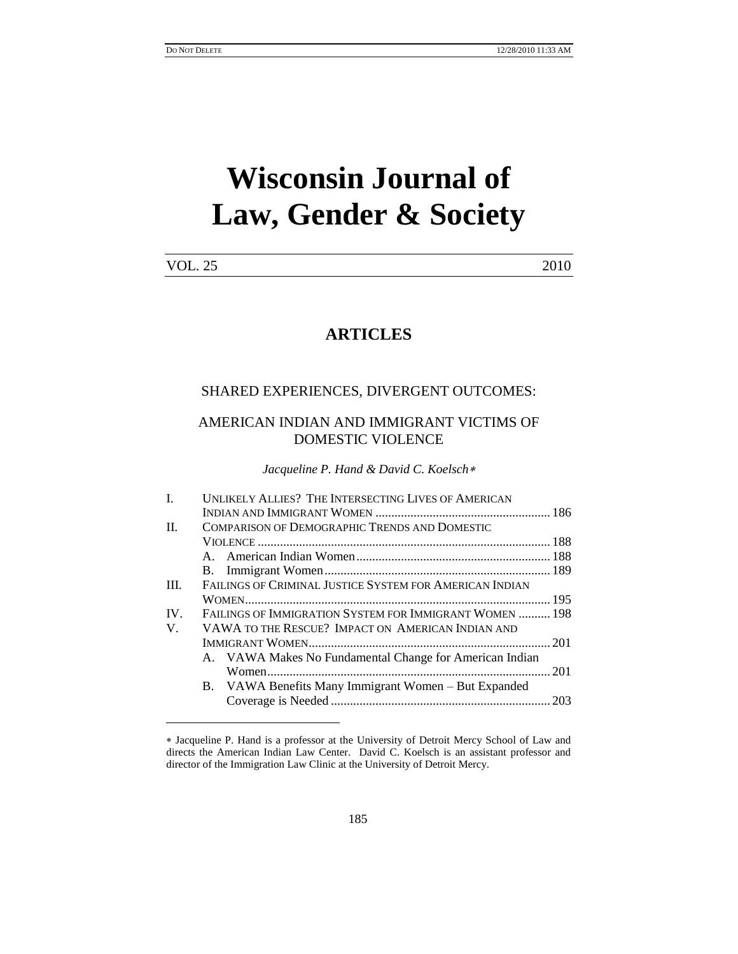l

# **Wisconsin Journal of Law, Gender & Society**

| <b>VOL. 25</b> | 2010 |
|----------------|------|
|----------------|------|

## **ARTICLES**

## SHARED EXPERIENCES, DIVERGENT OUTCOMES:

## AMERICAN INDIAN AND IMMIGRANT VICTIMS OF DOMESTIC VIOLENCE

*Jacqueline P. Hand & David C. Koelsch*

| L    | UNLIKELY ALLIES? THE INTERSECTING LIVES OF AMERICAN     |  |  |
|------|---------------------------------------------------------|--|--|
|      |                                                         |  |  |
| H.   | COMPARISON OF DEMOGRAPHIC TRENDS AND DOMESTIC           |  |  |
|      |                                                         |  |  |
|      |                                                         |  |  |
|      |                                                         |  |  |
| III. | FAILINGS OF CRIMINAL JUSTICE SYSTEM FOR AMERICAN INDIAN |  |  |
|      |                                                         |  |  |
| IV.  | FAILINGS OF IMMIGRATION SYSTEM FOR IMMIGRANT WOMEN  198 |  |  |
| V.   | VAWA TO THE RESCUE? IMPACT ON AMERICAN INDIAN AND       |  |  |
|      |                                                         |  |  |
|      | A. VAWA Makes No Fundamental Change for American Indian |  |  |
|      |                                                         |  |  |
|      | B. VAWA Benefits Many Immigrant Women – But Expanded    |  |  |
|      |                                                         |  |  |
|      |                                                         |  |  |

Jacqueline P. Hand is a professor at the University of Detroit Mercy School of Law and directs the American Indian Law Center. David C. Koelsch is an assistant professor and director of the Immigration Law Clinic at the University of Detroit Mercy.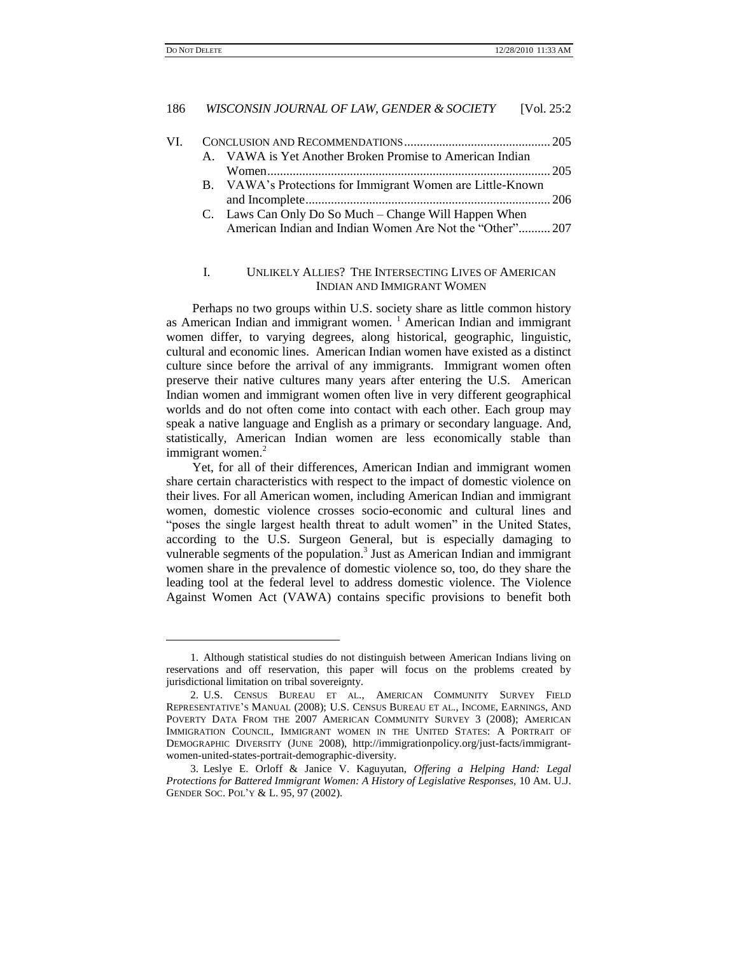$\overline{a}$ 

#### 186 *WISCONSIN JOURNAL OF LAW, GENDER & SOCIETY* [Vol. 25:2

| VI — |                                                            |  |
|------|------------------------------------------------------------|--|
|      | A. VAWA is Yet Another Broken Promise to American Indian   |  |
|      |                                                            |  |
|      | B. VAWA's Protections for Immigrant Women are Little-Known |  |
|      |                                                            |  |
|      | C. Laws Can Only Do So Much – Change Will Happen When      |  |
|      | American Indian and Indian Women Are Not the "Other" 207   |  |

#### I. UNLIKELY ALLIES? THE INTERSECTING LIVES OF AMERICAN INDIAN AND IMMIGRANT WOMEN

Perhaps no two groups within U.S. society share as little common history as American Indian and immigrant women.  $\frac{1}{1}$  American Indian and immigrant women differ, to varying degrees, along historical, geographic, linguistic, cultural and economic lines. American Indian women have existed as a distinct culture since before the arrival of any immigrants. Immigrant women often preserve their native cultures many years after entering the U.S. American Indian women and immigrant women often live in very different geographical worlds and do not often come into contact with each other. Each group may speak a native language and English as a primary or secondary language. And, statistically, American Indian women are less economically stable than immigrant women. $<sup>2</sup>$ </sup>

Yet, for all of their differences, American Indian and immigrant women share certain characteristics with respect to the impact of domestic violence on their lives. For all American women, including American Indian and immigrant women, domestic violence crosses socio-economic and cultural lines and "poses the single largest health threat to adult women" in the United States, according to the U.S. Surgeon General, but is especially damaging to vulnerable segments of the population.<sup>3</sup> Just as American Indian and immigrant women share in the prevalence of domestic violence so, too, do they share the leading tool at the federal level to address domestic violence. The Violence Against Women Act (VAWA) contains specific provisions to benefit both

<sup>1.</sup> Although statistical studies do not distinguish between American Indians living on reservations and off reservation, this paper will focus on the problems created by jurisdictional limitation on tribal sovereignty.

<sup>2.</sup> U.S. CENSUS BUREAU ET AL., AMERICAN COMMUNITY SURVEY FIELD REPRESENTATIVE'S MANUAL (2008); U.S. CENSUS BUREAU ET AL., INCOME, EARNINGS, AND POVERTY DATA FROM THE 2007 AMERICAN COMMUNITY SURVEY 3 (2008); AMERICAN IMMIGRATION COUNCIL, IMMIGRANT WOMEN IN THE UNITED STATES: A PORTRAIT OF DEMOGRAPHIC DIVERSITY (JUNE 2008), http://immigrationpolicy.org/just-facts/immigrantwomen-united-states-portrait-demographic-diversity.

<sup>3.</sup> Leslye E. Orloff & Janice V. Kaguyutan, *Offering a Helping Hand: Legal Protections for Battered Immigrant Women: A History of Legislative Responses,* 10 AM. U.J. GENDER SOC. POL'Y & L. 95, 97 (2002).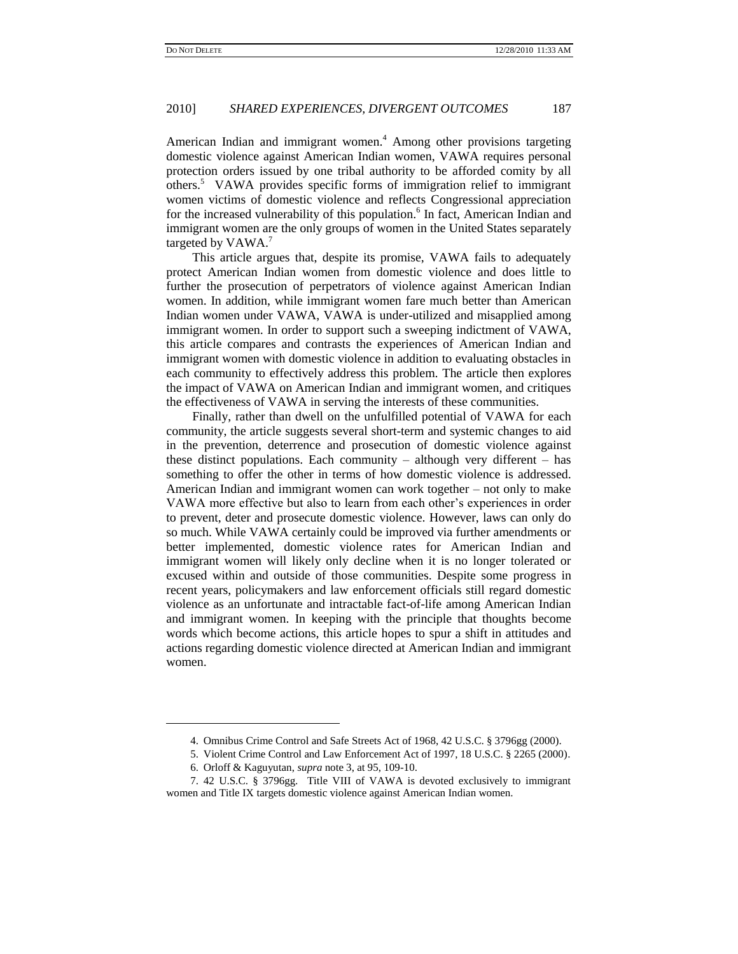American Indian and immigrant women.<sup>4</sup> Among other provisions targeting domestic violence against American Indian women, VAWA requires personal protection orders issued by one tribal authority to be afforded comity by all others.<sup>5</sup> VAWA provides specific forms of immigration relief to immigrant women victims of domestic violence and reflects Congressional appreciation for the increased vulnerability of this population.<sup>6</sup> In fact, American Indian and immigrant women are the only groups of women in the United States separately targeted by VAWA.<sup>7</sup>

This article argues that, despite its promise, VAWA fails to adequately protect American Indian women from domestic violence and does little to further the prosecution of perpetrators of violence against American Indian women. In addition, while immigrant women fare much better than American Indian women under VAWA, VAWA is under-utilized and misapplied among immigrant women. In order to support such a sweeping indictment of VAWA, this article compares and contrasts the experiences of American Indian and immigrant women with domestic violence in addition to evaluating obstacles in each community to effectively address this problem. The article then explores the impact of VAWA on American Indian and immigrant women, and critiques the effectiveness of VAWA in serving the interests of these communities.

Finally, rather than dwell on the unfulfilled potential of VAWA for each community, the article suggests several short-term and systemic changes to aid in the prevention, deterrence and prosecution of domestic violence against these distinct populations. Each community – although very different – has something to offer the other in terms of how domestic violence is addressed. American Indian and immigrant women can work together – not only to make VAWA more effective but also to learn from each other's experiences in order to prevent, deter and prosecute domestic violence. However, laws can only do so much. While VAWA certainly could be improved via further amendments or better implemented, domestic violence rates for American Indian and immigrant women will likely only decline when it is no longer tolerated or excused within and outside of those communities. Despite some progress in recent years, policymakers and law enforcement officials still regard domestic violence as an unfortunate and intractable fact-of-life among American Indian and immigrant women. In keeping with the principle that thoughts become words which become actions, this article hopes to spur a shift in attitudes and actions regarding domestic violence directed at American Indian and immigrant women.

 $\overline{a}$ 

<sup>4.</sup> Omnibus Crime Control and Safe Streets Act of 1968, 42 U.S.C. § 3796gg (2000).

<sup>5.</sup> Violent Crime Control and Law Enforcement Act of 1997, 18 U.S.C. § 2265 (2000).

<sup>6.</sup> Orloff & Kaguyutan, *supra* note 3, at 95, 109-10.

<sup>7.</sup> 42 U.S.C. § 3796gg. Title VIII of VAWA is devoted exclusively to immigrant women and Title IX targets domestic violence against American Indian women.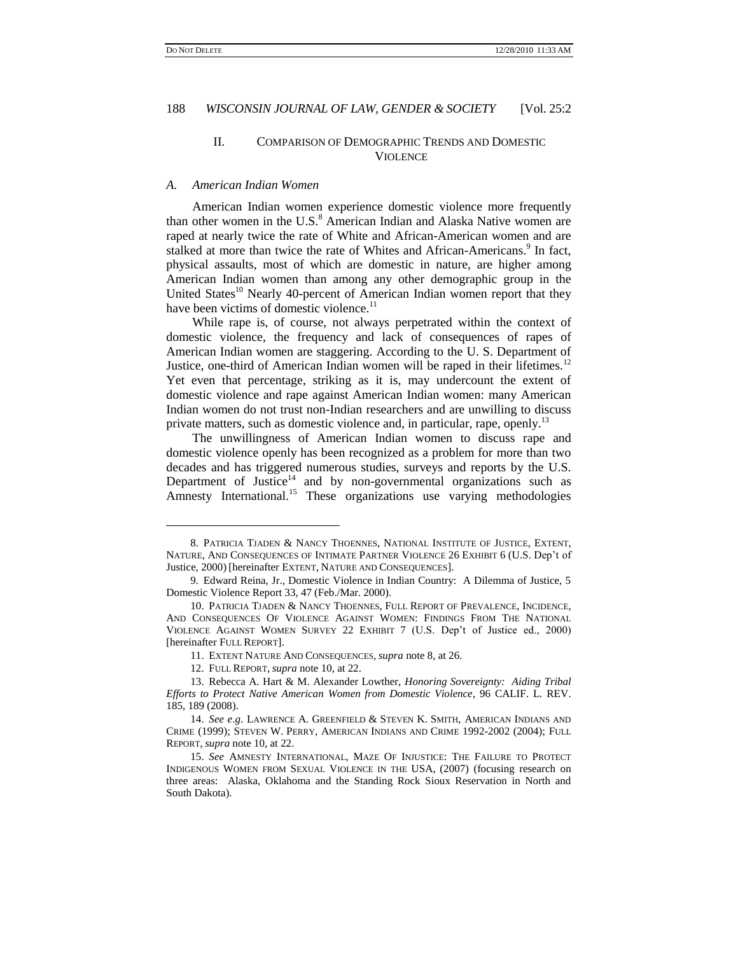l

#### II. COMPARISON OF DEMOGRAPHIC TRENDS AND DOMESTIC **VIOLENCE**

#### *A. American Indian Women*

American Indian women experience domestic violence more frequently than other women in the U.S.<sup>8</sup> American Indian and Alaska Native women are raped at nearly twice the rate of White and African-American women and are stalked at more than twice the rate of Whites and African-Americans.<sup>9</sup> In fact, physical assaults, most of which are domestic in nature, are higher among American Indian women than among any other demographic group in the United States<sup>10</sup> Nearly 40-percent of American Indian women report that they have been victims of domestic violence.<sup>11</sup>

While rape is, of course, not always perpetrated within the context of domestic violence, the frequency and lack of consequences of rapes of American Indian women are staggering. According to the U. S. Department of Justice, one-third of American Indian women will be raped in their lifetimes.<sup>12</sup> Yet even that percentage, striking as it is, may undercount the extent of domestic violence and rape against American Indian women: many American Indian women do not trust non-Indian researchers and are unwilling to discuss private matters, such as domestic violence and, in particular, rape, openly.<sup>13</sup>

The unwillingness of American Indian women to discuss rape and domestic violence openly has been recognized as a problem for more than two decades and has triggered numerous studies, surveys and reports by the U.S. Department of Justice $14$  and by non-governmental organizations such as Amnesty International.<sup>15</sup> These organizations use varying methodologies

<sup>8.</sup> PATRICIA TJADEN & NANCY THOENNES, NATIONAL INSTITUTE OF JUSTICE, EXTENT, NATURE, AND CONSEQUENCES OF INTIMATE PARTNER VIOLENCE 26 EXHIBIT 6 (U.S. Dep't of Justice, 2000) [hereinafter EXTENT, NATURE AND CONSEQUENCES].

<sup>9.</sup> Edward Reina, Jr., Domestic Violence in Indian Country: A Dilemma of Justice, 5 Domestic Violence Report 33, 47 (Feb./Mar. 2000).

<sup>10.</sup> PATRICIA TJADEN & NANCY THOENNES, FULL REPORT OF PREVALENCE, INCIDENCE, AND CONSEQUENCES OF VIOLENCE AGAINST WOMEN: FINDINGS FROM THE NATIONAL VIOLENCE AGAINST WOMEN SURVEY 22 EXHIBIT 7 (U.S. Dep't of Justice ed., 2000) [hereinafter FULL REPORT].

<sup>11.</sup> EXTENT NATURE AND CONSEQUENCES, *supra* note 8, at 26.

<sup>12.</sup> FULL REPORT, *supra* note 10, at 22.

<sup>13.</sup> Rebecca A. Hart & M. Alexander Lowther, *Honoring Sovereignty: Aiding Tribal Efforts to Protect Native American Women from Domestic Violence*, 96 CALIF. L. REV. 185, 189 (2008).

<sup>14.</sup> *See e*.*g*. LAWRENCE A. GREENFIELD & STEVEN K. SMITH, AMERICAN INDIANS AND CRIME (1999); STEVEN W. PERRY, AMERICAN INDIANS AND CRIME 1992-2002 (2004); FULL REPORT, *supra* note 10, at 22.

<sup>15.</sup> *See* AMNESTY INTERNATIONAL, MAZE OF INJUSTICE: THE FAILURE TO PROTECT INDIGENOUS WOMEN FROM SEXUAL VIOLENCE IN THE USA, (2007) (focusing research on three areas: Alaska, Oklahoma and the Standing Rock Sioux Reservation in North and South Dakota).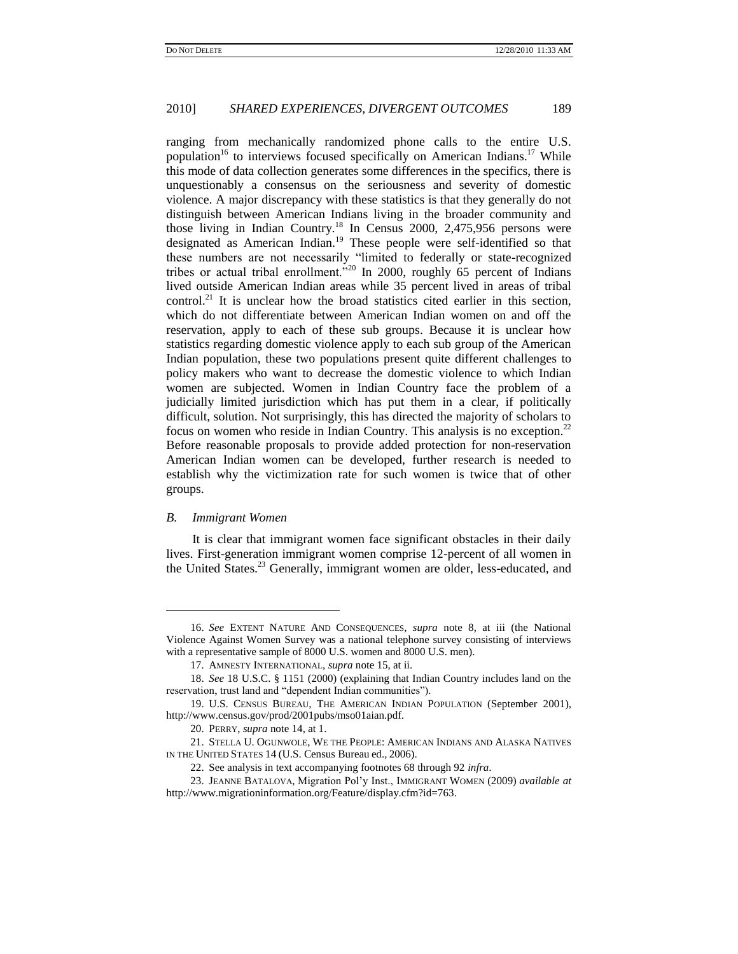ranging from mechanically randomized phone calls to the entire U.S. population<sup>16</sup> to interviews focused specifically on American Indians.<sup>17</sup> While this mode of data collection generates some differences in the specifics, there is unquestionably a consensus on the seriousness and severity of domestic violence. A major discrepancy with these statistics is that they generally do not distinguish between American Indians living in the broader community and those living in Indian Country.<sup>18</sup> In Census 2000, 2,475,956 persons were designated as American Indian.<sup>19</sup> These people were self-identified so that these numbers are not necessarily "limited to federally or state-recognized tribes or actual tribal enrollment.<sup>520</sup> In 2000, roughly 65 percent of Indians lived outside American Indian areas while 35 percent lived in areas of tribal control.<sup>21</sup> It is unclear how the broad statistics cited earlier in this section, which do not differentiate between American Indian women on and off the reservation, apply to each of these sub groups. Because it is unclear how statistics regarding domestic violence apply to each sub group of the American Indian population, these two populations present quite different challenges to policy makers who want to decrease the domestic violence to which Indian women are subjected. Women in Indian Country face the problem of a judicially limited jurisdiction which has put them in a clear, if politically difficult, solution. Not surprisingly, this has directed the majority of scholars to focus on women who reside in Indian Country. This analysis is no exception.<sup>22</sup> Before reasonable proposals to provide added protection for non-reservation American Indian women can be developed, further research is needed to establish why the victimization rate for such women is twice that of other groups.

#### *B. Immigrant Women*

l

It is clear that immigrant women face significant obstacles in their daily lives. First-generation immigrant women comprise 12-percent of all women in the United States.<sup>23</sup> Generally, immigrant women are older, less-educated, and

<sup>16.</sup> *See* EXTENT NATURE AND CONSEQUENCES, *supra* note 8, at iii (the National Violence Against Women Survey was a national telephone survey consisting of interviews with a representative sample of 8000 U.S. women and 8000 U.S. men).

<sup>17.</sup> AMNESTY INTERNATIONAL, *supra* note 15, at ii.

<sup>18.</sup> *See* 18 U.S.C. § 1151 (2000) (explaining that Indian Country includes land on the reservation, trust land and "dependent Indian communities").

<sup>19.</sup> U.S. CENSUS BUREAU, THE AMERICAN INDIAN POPULATION (September 2001), http://www.census.gov/prod/2001pubs/mso01aian.pdf.

<sup>20.</sup> PERRY, *supra* note 14, at 1.

<sup>21.</sup> STELLA U. OGUNWOLE, WE THE PEOPLE: AMERICAN INDIANS AND ALASKA NATIVES IN THE UNITED STATES 14 (U.S. Census Bureau ed., 2006).

<sup>22.</sup> See analysis in text accompanying footnotes 68 through 92 *infra*.

<sup>23.</sup> JEANNE BATALOVA, Migration Pol'y Inst., IMMIGRANT WOMEN (2009) *available at*  [http://www.migrationinformation.org/Feature/display.cfm?id=763.](http://www.migrationinformation.org/Feature/display.cfm?id=763)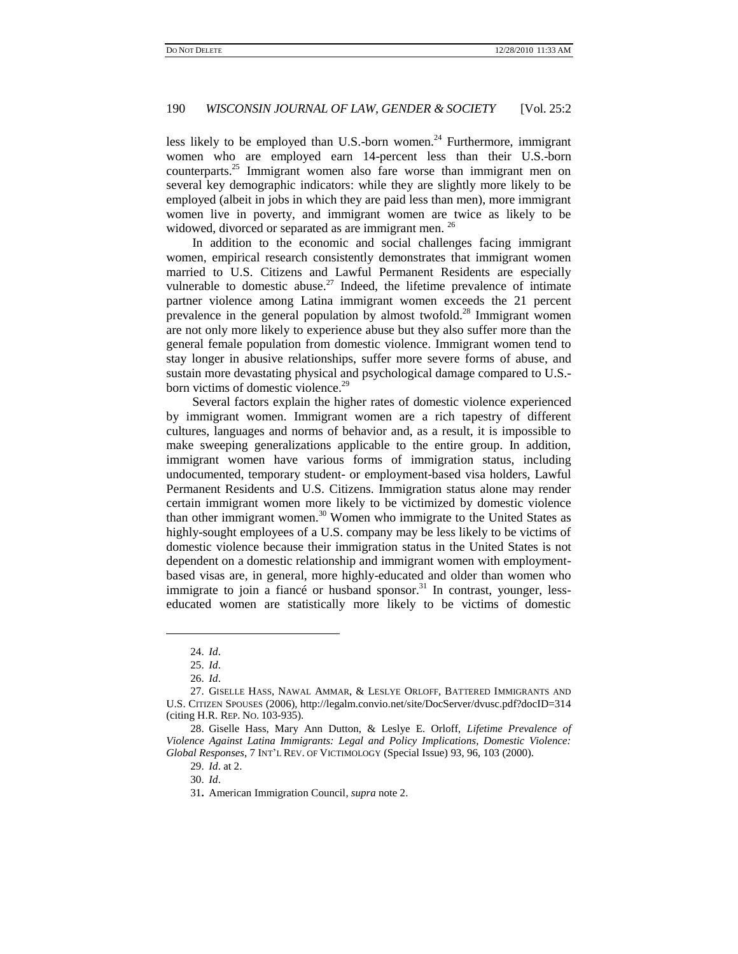less likely to be employed than U.S.-born women.<sup>24</sup> Furthermore, immigrant women who are employed earn 14-percent less than their U.S.-born counterparts.<sup>25</sup> Immigrant women also fare worse than immigrant men on several key demographic indicators: while they are slightly more likely to be employed (albeit in jobs in which they are paid less than men), more immigrant women live in poverty, and immigrant women are twice as likely to be widowed, divorced or separated as are immigrant men.<sup>26</sup>

In addition to the economic and social challenges facing immigrant women, empirical research consistently demonstrates that immigrant women married to U.S. Citizens and Lawful Permanent Residents are especially vulnerable to domestic abuse.<sup>27</sup> Indeed, the lifetime prevalence of intimate partner violence among Latina immigrant women exceeds the 21 percent prevalence in the general population by almost twofold.<sup>28</sup> Immigrant women are not only more likely to experience abuse but they also suffer more than the general female population from domestic violence. Immigrant women tend to stay longer in abusive relationships, suffer more severe forms of abuse, and sustain more devastating physical and psychological damage compared to U.S. born victims of domestic violence.<sup>29</sup>

Several factors explain the higher rates of domestic violence experienced by immigrant women. Immigrant women are a rich tapestry of different cultures, languages and norms of behavior and, as a result, it is impossible to make sweeping generalizations applicable to the entire group. In addition, immigrant women have various forms of immigration status, including undocumented, temporary student- or employment-based visa holders, Lawful Permanent Residents and U.S. Citizens. Immigration status alone may render certain immigrant women more likely to be victimized by domestic violence than other immigrant women.<sup>30</sup> Women who immigrate to the United States as highly-sought employees of a U.S. company may be less likely to be victims of domestic violence because their immigration status in the United States is not dependent on a domestic relationship and immigrant women with employmentbased visas are, in general, more highly-educated and older than women who immigrate to join a fiancé or husband sponsor.<sup>31</sup> In contrast, younger, lesseducated women are statistically more likely to be victims of domestic

l

29. *Id*. at 2.

30. *Id*.

<sup>24.</sup> *Id*.

<sup>25.</sup> *Id*.

<sup>26.</sup> *Id*.

<sup>27.</sup> GISELLE HASS, NAWAL AMMAR, & LESLYE ORLOFF, BATTERED IMMIGRANTS AND U.S. CITIZEN SPOUSES (2006), http://legalm.convio.net/site/DocServer/dvusc.pdf?docID=314 (citing H.R. REP. NO. 103-935).

<sup>28.</sup> Giselle Hass, Mary Ann Dutton, & Leslye E. Orloff, *Lifetime Prevalence of Violence Against Latina Immigrants: Legal and Policy Implications, Domestic Violence: Global Responses*, 7 INT'L REV. OF VICTIMOLOGY (Special Issue) 93, 96, 103 (2000).

<sup>31</sup>**.** American Immigration Council, *supra* note 2.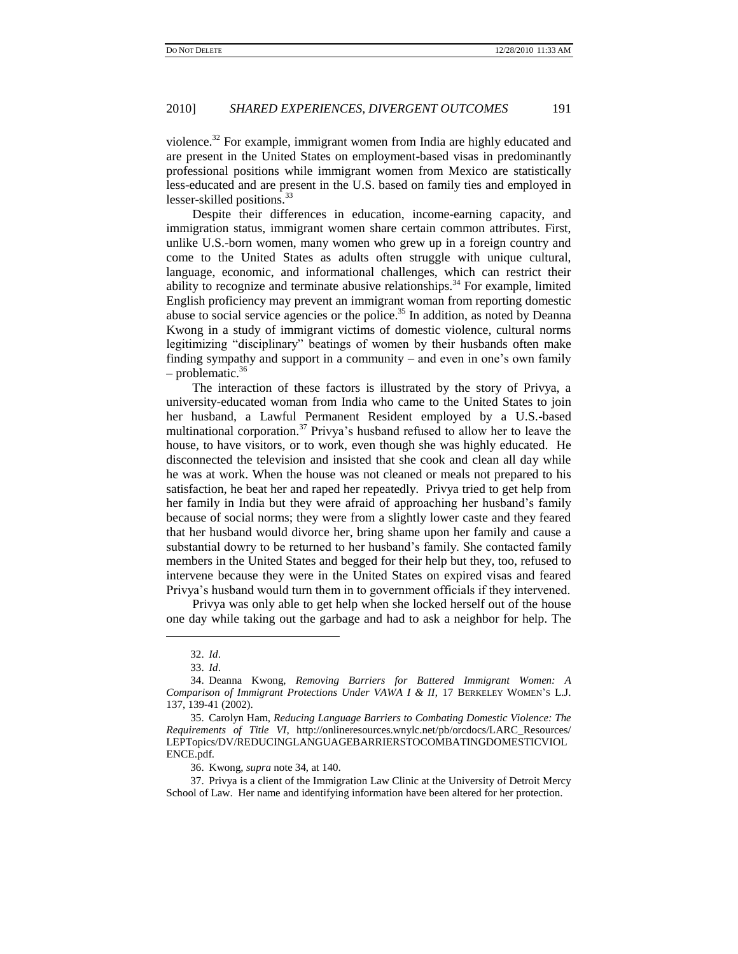violence.<sup>32</sup> For example, immigrant women from India are highly educated and are present in the United States on employment-based visas in predominantly professional positions while immigrant women from Mexico are statistically less-educated and are present in the U.S. based on family ties and employed in lesser-skilled positions.<sup>33</sup>

Despite their differences in education, income-earning capacity, and immigration status, immigrant women share certain common attributes. First, unlike U.S.-born women, many women who grew up in a foreign country and come to the United States as adults often struggle with unique cultural, language, economic, and informational challenges, which can restrict their ability to recognize and terminate abusive relationships.<sup>34</sup> For example, limited English proficiency may prevent an immigrant woman from reporting domestic abuse to social service agencies or the police. $35$  In addition, as noted by Deanna Kwong in a study of immigrant victims of domestic violence, cultural norms legitimizing "disciplinary" beatings of women by their husbands often make finding sympathy and support in a community – and even in one's own family  $-$  problematic.<sup>36</sup>

The interaction of these factors is illustrated by the story of Privya, a university-educated woman from India who came to the United States to join her husband, a Lawful Permanent Resident employed by a U.S.-based multinational corporation.<sup>37</sup> Privya's husband refused to allow her to leave the house, to have visitors, or to work, even though she was highly educated. He disconnected the television and insisted that she cook and clean all day while he was at work. When the house was not cleaned or meals not prepared to his satisfaction, he beat her and raped her repeatedly. Privya tried to get help from her family in India but they were afraid of approaching her husband's family because of social norms; they were from a slightly lower caste and they feared that her husband would divorce her, bring shame upon her family and cause a substantial dowry to be returned to her husband's family. She contacted family members in the United States and begged for their help but they, too, refused to intervene because they were in the United States on expired visas and feared Privya's husband would turn them in to government officials if they intervened.

Privya was only able to get help when she locked herself out of the house one day while taking out the garbage and had to ask a neighbor for help. The

 $\overline{a}$ 

36. Kwong, *supra* note 34, at 140.

37. Privya is a client of the Immigration Law Clinic at the University of Detroit Mercy School of Law. Her name and identifying information have been altered for her protection.

<sup>32.</sup> *Id*.

<sup>33.</sup> *Id*.

<sup>34.</sup> Deanna Kwong, *Removing Barriers for Battered Immigrant Women: A Comparison of Immigrant Protections Under VAWA I & II*, 17 BERKELEY WOMEN'S L.J. 137, 139-41 (2002).

<sup>35.</sup> Carolyn Ham, *Reducing Language Barriers to Combating Domestic Violence: The Requirements of Title VI*, http://onlineresources.wnylc.net/pb/orcdocs/LARC\_Resources/ LEPTopics/DV/REDUCINGLANGUAGEBARRIERSTOCOMBATINGDOMESTICVIOL ENCE.pdf.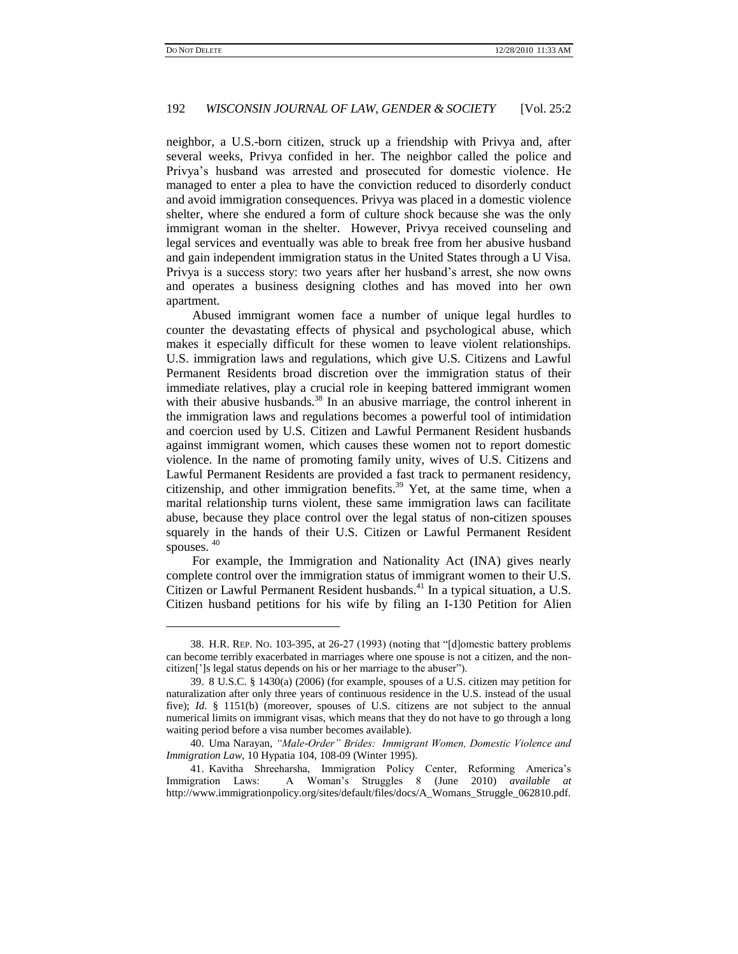l

## 192 *WISCONSIN JOURNAL OF LAW, GENDER & SOCIETY* [Vol. 25:2

neighbor, a U.S.-born citizen, struck up a friendship with Privya and, after several weeks, Privya confided in her. The neighbor called the police and Privya's husband was arrested and prosecuted for domestic violence. He managed to enter a plea to have the conviction reduced to disorderly conduct and avoid immigration consequences. Privya was placed in a domestic violence shelter, where she endured a form of culture shock because she was the only immigrant woman in the shelter. However, Privya received counseling and legal services and eventually was able to break free from her abusive husband and gain independent immigration status in the United States through a U Visa. Privya is a success story: two years after her husband's arrest, she now owns and operates a business designing clothes and has moved into her own apartment.

Abused immigrant women face a number of unique legal hurdles to counter the devastating effects of physical and psychological abuse, which makes it especially difficult for these women to leave violent relationships. U.S. immigration laws and regulations, which give U.S. Citizens and Lawful Permanent Residents broad discretion over the immigration status of their immediate relatives, play a crucial role in keeping battered immigrant women with their abusive husbands.<sup>38</sup> In an abusive marriage, the control inherent in the immigration laws and regulations becomes a powerful tool of intimidation and coercion used by U.S. Citizen and Lawful Permanent Resident husbands against immigrant women, which causes these women not to report domestic violence. In the name of promoting family unity, wives of U.S. Citizens and Lawful Permanent Residents are provided a fast track to permanent residency, citizenship, and other immigration benefits.<sup>39</sup> Yet, at the same time, when a marital relationship turns violent, these same immigration laws can facilitate abuse, because they place control over the legal status of non-citizen spouses squarely in the hands of their U.S. Citizen or Lawful Permanent Resident spouses.  $40$ 

For example, the Immigration and Nationality Act (INA) gives nearly complete control over the immigration status of immigrant women to their U.S. Citizen or Lawful Permanent Resident husbands.<sup>41</sup> In a typical situation, a U.S. Citizen husband petitions for his wife by filing an I-130 Petition for Alien

<sup>38.</sup> H.R. REP. No. 103-395, at 26-27 (1993) (noting that "[d]omestic battery problems can become terribly exacerbated in marriages where one spouse is not a citizen, and the noncitizen[']s legal status depends on his or her marriage to the abuser").

<sup>39.</sup> 8 U.S.C. § 1430(a) (2006) (for example, spouses of a U.S. citizen may petition for naturalization after only three years of continuous residence in the U.S. instead of the usual five); *Id*. § 1151(b) (moreover, spouses of U.S. citizens are not subject to the annual numerical limits on immigrant visas, which means that they do not have to go through a long waiting period before a visa number becomes available).

<sup>40.</sup> Uma Narayan, *"Male-Order" Brides: Immigrant Women, Domestic Violence and Immigration Law*, 10 Hypatia 104, 108-09 (Winter 1995).

<sup>41.</sup> Kavitha Shreeharsha, Immigration Policy Center, Reforming America's Immigration Laws: A Woman's Struggles 8 (June 2010) *available at* http://www.immigrationpolicy.org/sites/default/files/docs/A\_Womans\_Struggle\_062810.pdf.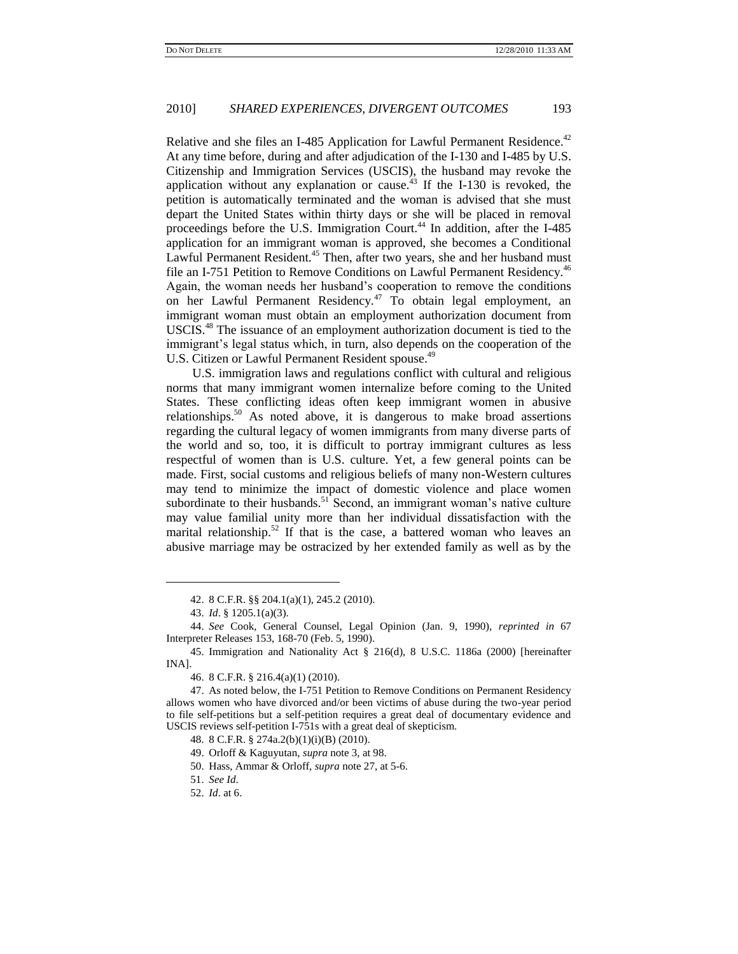Relative and she files an I-485 Application for Lawful Permanent Residence.<sup>42</sup> At any time before, during and after adjudication of the I-130 and I-485 by U.S. Citizenship and Immigration Services (USCIS), the husband may revoke the application without any explanation or cause.<sup>43</sup> If the I-130 is revoked, the petition is automatically terminated and the woman is advised that she must depart the United States within thirty days or she will be placed in removal proceedings before the U.S. Immigration Court.<sup>44</sup> In addition, after the I-485 application for an immigrant woman is approved, she becomes a Conditional Lawful Permanent Resident.<sup>45</sup> Then, after two years, she and her husband must file an I-751 Petition to Remove Conditions on Lawful Permanent Residency.<sup>46</sup> Again, the woman needs her husband's cooperation to remove the conditions on her Lawful Permanent Residency.<sup>47</sup> To obtain legal employment, an immigrant woman must obtain an employment authorization document from USCIS.<sup>48</sup> The issuance of an employment authorization document is tied to the immigrant's legal status which, in turn, also depends on the cooperation of the U.S. Citizen or Lawful Permanent Resident spouse.<sup>49</sup>

U.S. immigration laws and regulations conflict with cultural and religious norms that many immigrant women internalize before coming to the United States. These conflicting ideas often keep immigrant women in abusive relationships.<sup>50</sup> As noted above, it is dangerous to make broad assertions regarding the cultural legacy of women immigrants from many diverse parts of the world and so, too, it is difficult to portray immigrant cultures as less respectful of women than is U.S. culture. Yet, a few general points can be made. First, social customs and religious beliefs of many non-Western cultures may tend to minimize the impact of domestic violence and place women subordinate to their husbands.<sup>51</sup> Second, an immigrant woman's native culture may value familial unity more than her individual dissatisfaction with the marital relationship.<sup>52</sup> If that is the case, a battered woman who leaves an abusive marriage may be ostracized by her extended family as well as by the

 $\overline{a}$ 

52. *Id*. at 6.

<sup>42.</sup> 8 C.F.R. §§ 204.1(a)(1), 245.2 (2010).

<sup>43.</sup> *Id*. § 1205.1(a)(3).

<sup>44.</sup> *See* Cook, General Counsel, Legal Opinion (Jan. 9, 1990), *reprinted in* 67 Interpreter Releases 153, 168-70 (Feb. 5, 1990).

<sup>45.</sup> Immigration and Nationality Act § 216(d), 8 U.S.C. 1186a (2000) [hereinafter INA].

<sup>46.</sup> 8 C.F.R. § 216.4(a)(1) (2010).

<sup>47.</sup> As noted below, the I-751 Petition to Remove Conditions on Permanent Residency allows women who have divorced and/or been victims of abuse during the two-year period to file self-petitions but a self-petition requires a great deal of documentary evidence and USCIS reviews self-petition I-751s with a great deal of skepticism.

<sup>48.</sup> 8 C.F.R. § 274a.2(b)(1)(i)(B) (2010).

<sup>49.</sup> Orloff & Kaguyutan, *supra* note 3, at 98.

<sup>50.</sup> Hass, Ammar & Orloff, *supra* note 27, at 5-6.

<sup>51.</sup> *See Id*.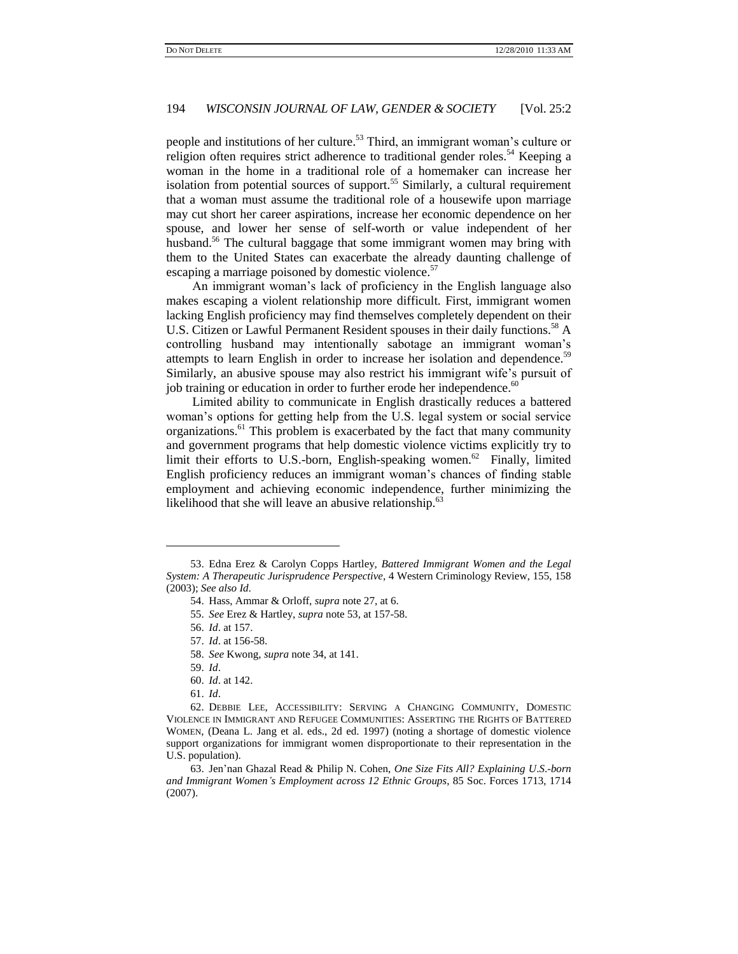people and institutions of her culture.<sup>53</sup> Third, an immigrant woman's culture or religion often requires strict adherence to traditional gender roles.<sup>54</sup> Keeping a woman in the home in a traditional role of a homemaker can increase her isolation from potential sources of support.<sup>55</sup> Similarly, a cultural requirement that a woman must assume the traditional role of a housewife upon marriage may cut short her career aspirations, increase her economic dependence on her spouse, and lower her sense of self-worth or value independent of her husband.<sup>56</sup> The cultural baggage that some immigrant women may bring with them to the United States can exacerbate the already daunting challenge of escaping a marriage poisoned by domestic violence.<sup>57</sup>

An immigrant woman's lack of proficiency in the English language also makes escaping a violent relationship more difficult. First, immigrant women lacking English proficiency may find themselves completely dependent on their U.S. Citizen or Lawful Permanent Resident spouses in their daily functions.<sup>58</sup> A controlling husband may intentionally sabotage an immigrant woman's attempts to learn English in order to increase her isolation and dependence.<sup>59</sup> Similarly, an abusive spouse may also restrict his immigrant wife's pursuit of job training or education in order to further erode her independence.<sup>60</sup>

Limited ability to communicate in English drastically reduces a battered woman's options for getting help from the U.S. legal system or social service organizations.<sup>61</sup> This problem is exacerbated by the fact that many community and government programs that help domestic violence victims explicitly try to limit their efforts to U.S.-born, English-speaking women.<sup>62</sup> Finally, limited English proficiency reduces an immigrant woman's chances of finding stable employment and achieving economic independence, further minimizing the likelihood that she will leave an abusive relationship.<sup>63</sup>

 $\overline{a}$ 

<sup>53.</sup> Edna Erez & Carolyn Copps Hartley, *Battered Immigrant Women and the Legal System: A Therapeutic Jurisprudence Perspective*, 4 Western Criminology Review, 155, 158 (2003); *See also Id*.

<sup>54.</sup> Hass, Ammar & Orloff, *supra* note 27, at 6.

<sup>55.</sup> *See* Erez & Hartley, *supra* note 53, at 157-58.

<sup>56.</sup> *Id*. at 157.

<sup>57.</sup> *Id*. at 156-58.

<sup>58.</sup> *See* Kwong, *supra* note 34, at 141.

<sup>59.</sup> *Id*.

<sup>60.</sup> *Id*. at 142.

<sup>61.</sup> *Id*.

<sup>62.</sup> DEBBIE LEE, ACCESSIBILITY: SERVING A CHANGING COMMUNITY, DOMESTIC VIOLENCE IN IMMIGRANT AND REFUGEE COMMUNITIES: ASSERTING THE RIGHTS OF BATTERED WOMEN, (Deana L. Jang et al. eds., 2d ed. 1997) (noting a shortage of domestic violence support organizations for immigrant women disproportionate to their representation in the U.S. population).

<sup>63.</sup> Jen'nan Ghazal Read & Philip N. Cohen, *One Size Fits All? Explaining U*.*S*.*-born and Immigrant Women's Employment across 12 Ethnic Groups*, 85 Soc. Forces 1713, 1714 (2007).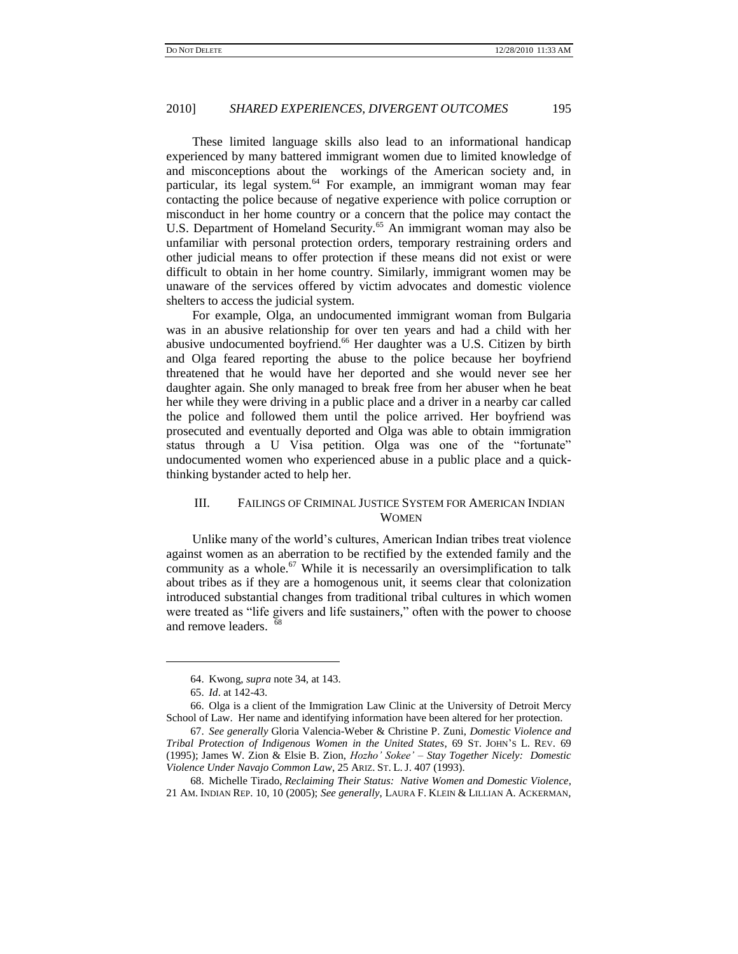These limited language skills also lead to an informational handicap experienced by many battered immigrant women due to limited knowledge of and misconceptions about the workings of the American society and, in particular, its legal system.<sup>64</sup> For example, an immigrant woman may fear contacting the police because of negative experience with police corruption or misconduct in her home country or a concern that the police may contact the U.S. Department of Homeland Security.<sup>65</sup> An immigrant woman may also be unfamiliar with personal protection orders, temporary restraining orders and other judicial means to offer protection if these means did not exist or were difficult to obtain in her home country. Similarly, immigrant women may be unaware of the services offered by victim advocates and domestic violence shelters to access the judicial system.

For example, Olga, an undocumented immigrant woman from Bulgaria was in an abusive relationship for over ten years and had a child with her abusive undocumented boyfriend.<sup>66</sup> Her daughter was a U.S. Citizen by birth and Olga feared reporting the abuse to the police because her boyfriend threatened that he would have her deported and she would never see her daughter again. She only managed to break free from her abuser when he beat her while they were driving in a public place and a driver in a nearby car called the police and followed them until the police arrived. Her boyfriend was prosecuted and eventually deported and Olga was able to obtain immigration status through a U Visa petition. Olga was one of the "fortunate" undocumented women who experienced abuse in a public place and a quickthinking bystander acted to help her.

## III. FAILINGS OF CRIMINAL JUSTICE SYSTEM FOR AMERICAN INDIAN WOMEN

Unlike many of the world's cultures, American Indian tribes treat violence against women as an aberration to be rectified by the extended family and the community as a whole.<sup>67</sup> While it is necessarily an oversimplification to talk about tribes as if they are a homogenous unit, it seems clear that colonization introduced substantial changes from traditional tribal cultures in which women were treated as "life givers and life sustainers," often with the power to choose and remove leaders. <sup>68</sup>

<sup>64.</sup> Kwong, *supra* note 34, at 143.

<sup>65.</sup> *Id*. at 142-43.

<sup>66.</sup> Olga is a client of the Immigration Law Clinic at the University of Detroit Mercy School of Law. Her name and identifying information have been altered for her protection.

<sup>67.</sup> *See generally* Gloria Valencia-Weber & Christine P. Zuni, *Domestic Violence and Tribal Protection of Indigenous Women in the United States*, 69 ST. JOHN'S L. REV. 69 (1995); James W. Zion & Elsie B. Zion, *Hozho' Sokee' – Stay Together Nicely: Domestic Violence Under Navajo Common Law*, 25 ARIZ. ST. L. J. 407 (1993).

<sup>68.</sup> Michelle Tirado, *Reclaiming Their Status: Native Women and Domestic Violence*, 21 AM. INDIAN REP. 10, 10 (2005); *See generally*, LAURA F. KLEIN & LILLIAN A. ACKERMAN,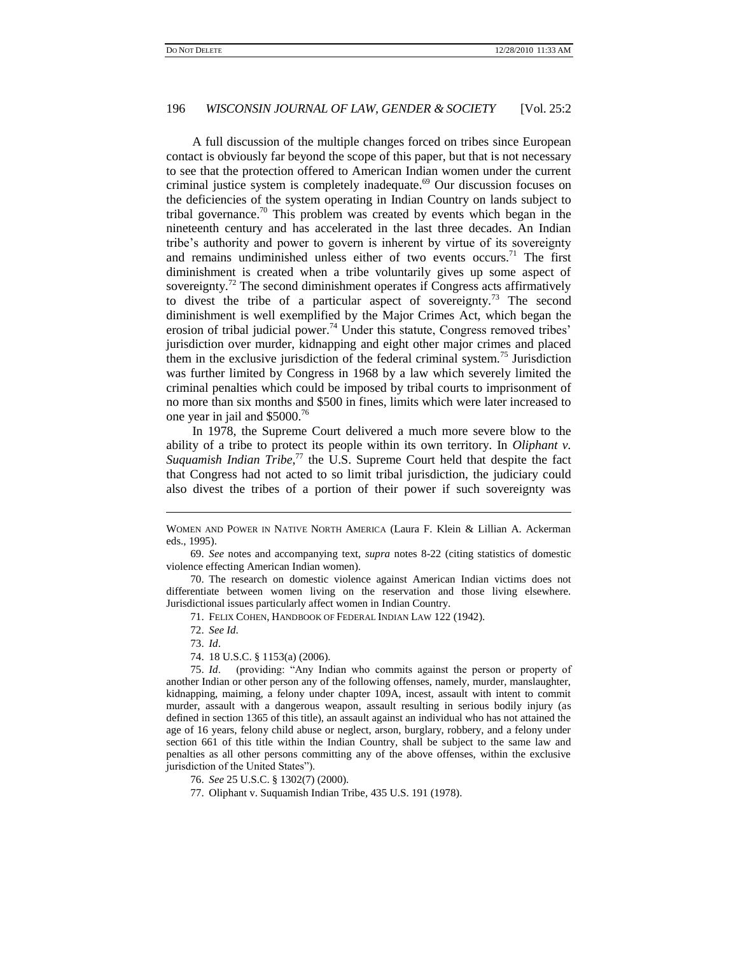A full discussion of the multiple changes forced on tribes since European contact is obviously far beyond the scope of this paper, but that is not necessary to see that the protection offered to American Indian women under the current criminal justice system is completely inadequate.<sup>69</sup> Our discussion focuses on the deficiencies of the system operating in Indian Country on lands subject to tribal governance.<sup>70</sup> This problem was created by events which began in the nineteenth century and has accelerated in the last three decades. An Indian tribe's authority and power to govern is inherent by virtue of its sovereignty and remains undiminished unless either of two events occurs.<sup>71</sup> The first diminishment is created when a tribe voluntarily gives up some aspect of sovereignty.<sup>72</sup> The second diminishment operates if Congress acts affirmatively to divest the tribe of a particular aspect of sovereignty.<sup>73</sup> The second diminishment is well exemplified by the Major Crimes Act, which began the erosion of tribal judicial power.<sup>74</sup> Under this statute, Congress removed tribes' jurisdiction over murder, kidnapping and eight other major crimes and placed them in the exclusive jurisdiction of the federal criminal system.<sup>75</sup> Jurisdiction was further limited by Congress in 1968 by a law which severely limited the criminal penalties which could be imposed by tribal courts to imprisonment of no more than six months and \$500 in fines, limits which were later increased to one year in jail and \$5000.<sup>76</sup>

In 1978, the Supreme Court delivered a much more severe blow to the ability of a tribe to protect its people within its own territory. In *Oliphant v.*  Suquamish Indian Tribe,<sup>77</sup> the U.S. Supreme Court held that despite the fact that Congress had not acted to so limit tribal jurisdiction, the judiciary could also divest the tribes of a portion of their power if such sovereignty was

72. *See Id*.

73. *Id*.

l

77. Oliphant v. Suquamish Indian Tribe*,* 435 U.S. 191 (1978).

WOMEN AND POWER IN NATIVE NORTH AMERICA (Laura F. Klein & Lillian A. Ackerman eds., 1995).

<sup>69.</sup> *See* notes and accompanying text, *supra* notes 8-22 (citing statistics of domestic violence effecting American Indian women).

<sup>70.</sup> The research on domestic violence against American Indian victims does not differentiate between women living on the reservation and those living elsewhere. Jurisdictional issues particularly affect women in Indian Country.

<sup>71.</sup> FELIX COHEN, HANDBOOK OF FEDERAL INDIAN LAW 122 (1942).

<sup>74.</sup> 18 U.S.C. § 1153(a) (2006).

<sup>75.</sup> *Id.* (providing: "Any Indian who commits against the person or property of another Indian or other person any of the following offenses, namely, murder, manslaughter, kidnapping, maiming, a felony under chapter 109A, incest, assault with intent to commit murder, assault with a dangerous weapon, assault resulting in serious bodily injury (as defined in section 1365 of this title), an assault against an individual who has not attained the age of 16 years, felony child abuse or neglect, arson, burglary, robbery, and a felony under section 661 of this title within the Indian Country, shall be subject to the same law and penalties as all other persons committing any of the above offenses, within the exclusive jurisdiction of the United States").

<sup>76.</sup> *See* 25 U.S.C. § 1302(7) (2000).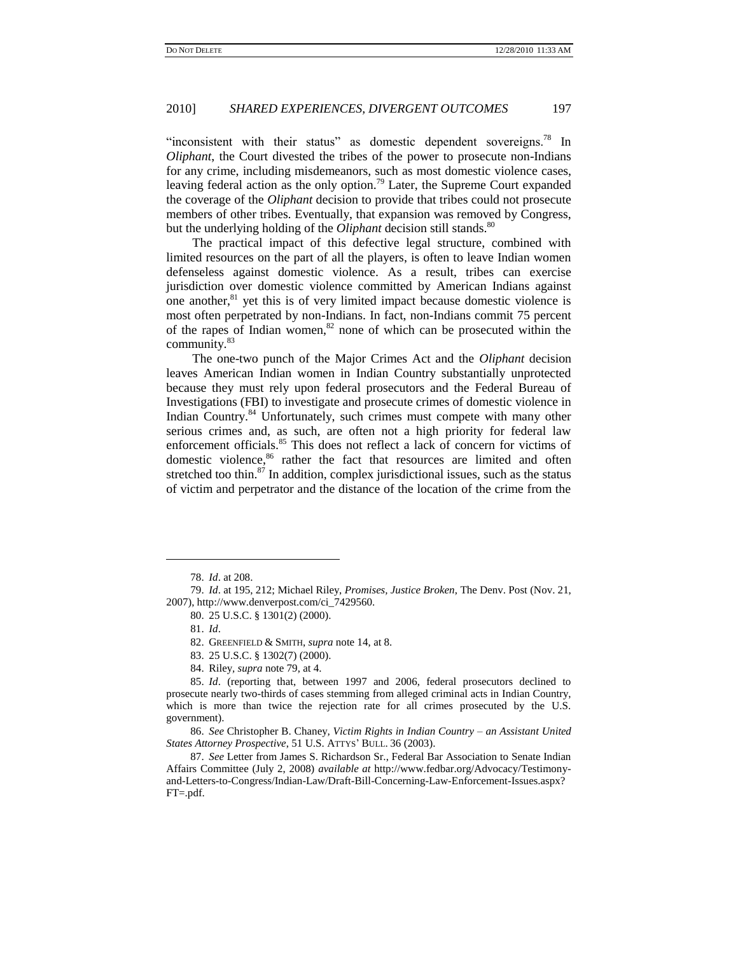"inconsistent with their status" as domestic dependent sovereigns.<sup>78</sup> In *Oliphant*, the Court divested the tribes of the power to prosecute non-Indians for any crime, including misdemeanors, such as most domestic violence cases, leaving federal action as the only option.<sup>79</sup> Later, the Supreme Court expanded the coverage of the *Oliphant* decision to provide that tribes could not prosecute members of other tribes. Eventually, that expansion was removed by Congress, but the underlying holding of the *Oliphant* decision still stands.<sup>80</sup>

The practical impact of this defective legal structure, combined with limited resources on the part of all the players, is often to leave Indian women defenseless against domestic violence. As a result, tribes can exercise jurisdiction over domestic violence committed by American Indians against one another, ${}^{81}$  yet this is of very limited impact because domestic violence is most often perpetrated by non-Indians. In fact, non-Indians commit 75 percent of the rapes of Indian women, $82$  none of which can be prosecuted within the community.<sup>83</sup>

The one-two punch of the Major Crimes Act and the *Oliphant* decision leaves American Indian women in Indian Country substantially unprotected because they must rely upon federal prosecutors and the Federal Bureau of Investigations (FBI) to investigate and prosecute crimes of domestic violence in Indian Country.<sup>84</sup> Unfortunately, such crimes must compete with many other serious crimes and, as such, are often not a high priority for federal law enforcement officials.<sup>85</sup> This does not reflect a lack of concern for victims of domestic violence,<sup>86</sup> rather the fact that resources are limited and often stretched too thin.<sup>87</sup> In addition, complex jurisdictional issues, such as the status of victim and perpetrator and the distance of the location of the crime from the

l

83. 25 U.S.C. § 1302(7) (2000).

<sup>78.</sup> *Id*. at 208.

<sup>79.</sup> *Id*. at 195, 212; Michael Riley, *Promises, Justice Broken*, The Denv. Post (Nov. 21, 2007), http://www.denverpost.com/ci\_7429560.

<sup>80.</sup> 25 U.S.C. § 1301(2) (2000).

<sup>81.</sup> *Id*.

<sup>82.</sup> GREENFIELD & SMITH, *supra* note 14, at 8.

<sup>84.</sup> Riley*, supra* note 79, at 4.

<sup>85.</sup> *Id*. (reporting that, between 1997 and 2006, federal prosecutors declined to prosecute nearly two-thirds of cases stemming from alleged criminal acts in Indian Country, which is more than twice the rejection rate for all crimes prosecuted by the U.S. government).

<sup>86.</sup> *See* Christopher B. Chaney*, Victim Rights in Indian Country – an Assistant United States Attorney Prospective*, 51 U.S. ATTYS' BULL. 36 (2003).

<sup>87.</sup> *See* Letter from James S. Richardson Sr., Federal Bar Association to Senate Indian Affairs Committee (July 2, 2008) *available at* http://www.fedbar.org/Advocacy/Testimonyand-Letters-to-Congress/Indian-Law/Draft-Bill-Concerning-Law-Enforcement-Issues.aspx? FT=.pdf.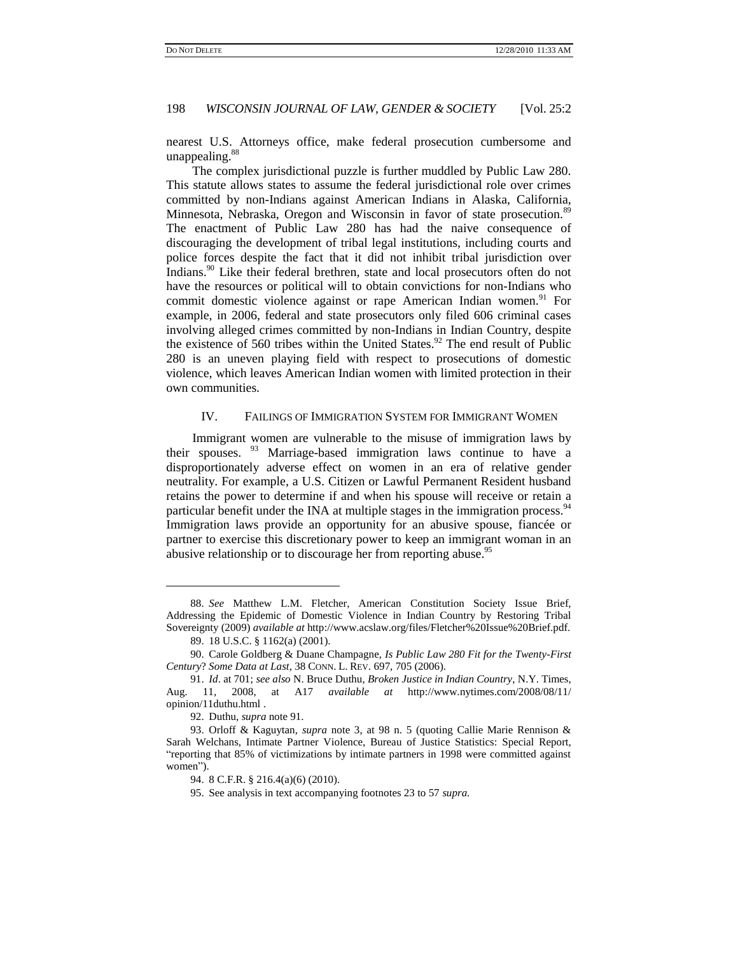nearest U.S. Attorneys office, make federal prosecution cumbersome and unappealing.<sup>88</sup>

The complex jurisdictional puzzle is further muddled by Public Law 280. This statute allows states to assume the federal jurisdictional role over crimes committed by non-Indians against American Indians in Alaska, California, Minnesota, Nebraska, Oregon and Wisconsin in favor of state prosecution.<sup>89</sup> The enactment of Public Law 280 has had the naive consequence of discouraging the development of tribal legal institutions, including courts and police forces despite the fact that it did not inhibit tribal jurisdiction over Indians.<sup>90</sup> Like their federal brethren, state and local prosecutors often do not have the resources or political will to obtain convictions for non-Indians who commit domestic violence against or rape American Indian women.<sup>91</sup> For example, in 2006, federal and state prosecutors only filed 606 criminal cases involving alleged crimes committed by non-Indians in Indian Country, despite the existence of 560 tribes within the United States.<sup>92</sup> The end result of Public 280 is an uneven playing field with respect to prosecutions of domestic violence, which leaves American Indian women with limited protection in their own communities.

#### IV. FAILINGS OF IMMIGRATION SYSTEM FOR IMMIGRANT WOMEN

Immigrant women are vulnerable to the misuse of immigration laws by their spouses. <sup>93</sup> Marriage-based immigration laws continue to have a disproportionately adverse effect on women in an era of relative gender neutrality. For example, a U.S. Citizen or Lawful Permanent Resident husband retains the power to determine if and when his spouse will receive or retain a particular benefit under the INA at multiple stages in the immigration process.<sup>94</sup> Immigration laws provide an opportunity for an abusive spouse, fiancée or partner to exercise this discretionary power to keep an immigrant woman in an abusive relationship or to discourage her from reporting abuse.<sup>95</sup>

<sup>88.</sup> *See* Matthew L.M. Fletcher, American Constitution Society Issue Brief, Addressing the Epidemic of Domestic Violence in Indian Country by Restoring Tribal Sovereignty (2009) *available at* http://www.acslaw.org/files/Fletcher%20Issue%20Brief.pdf.

<sup>89.</sup> 18 U.S.C. § 1162(a) (2001).

<sup>90.</sup> Carole Goldberg & Duane Champagne, *Is Public Law 280 Fit for the Twenty-First Century*? *Some Data at Last*, 38 CONN. L. REV. 697, 705 (2006).

<sup>91.</sup> *Id*. at 701; *see also* N. Bruce Duthu, *Broken Justice in Indian Country*, N.Y. Times, Aug. 11, 2008, at A17 *available at* http://www.nytimes.com/2008/08/11/ opinion/11duthu.html .

<sup>92.</sup> Duthu, *supra* note 91.

<sup>93.</sup> Orloff & Kaguytan, *supra* note 3, at 98 n. 5 (quoting Callie Marie Rennison & Sarah Welchans, Intimate Partner Violence, Bureau of Justice Statistics: Special Report, "reporting that 85% of victimizations by intimate partners in 1998 were committed against women").

<sup>94.</sup> 8 C.F.R. § 216.4(a)(6) (2010).

<sup>95.</sup> See analysis in text accompanying footnotes 23 to 57 *supra*.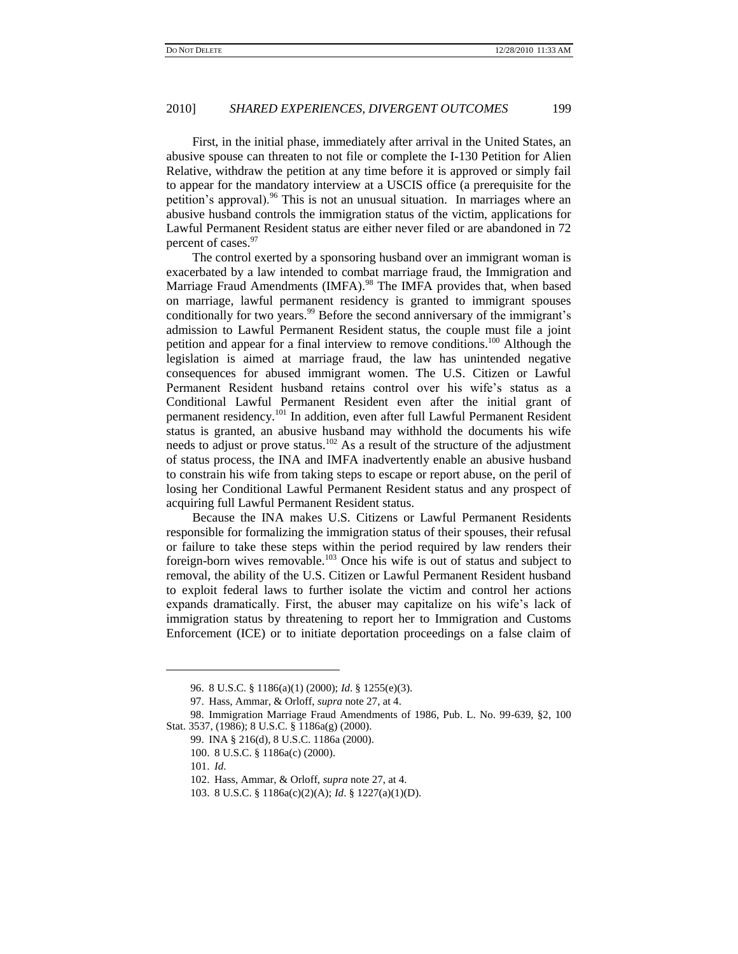First, in the initial phase, immediately after arrival in the United States, an abusive spouse can threaten to not file or complete the I-130 Petition for Alien Relative, withdraw the petition at any time before it is approved or simply fail to appear for the mandatory interview at a USCIS office (a prerequisite for the petition's approval).<sup>96</sup> This is not an unusual situation. In marriages where an abusive husband controls the immigration status of the victim, applications for Lawful Permanent Resident status are either never filed or are abandoned in 72 percent of cases.<sup>97</sup>

The control exerted by a sponsoring husband over an immigrant woman is exacerbated by a law intended to combat marriage fraud, the Immigration and Marriage Fraud Amendments (IMFA).<sup>98</sup> The IMFA provides that, when based on marriage, lawful permanent residency is granted to immigrant spouses conditionally for two years.<sup>99</sup> Before the second anniversary of the immigrant's admission to Lawful Permanent Resident status, the couple must file a joint petition and appear for a final interview to remove conditions.<sup>100</sup> Although the legislation is aimed at marriage fraud, the law has unintended negative consequences for abused immigrant women. The U.S. Citizen or Lawful Permanent Resident husband retains control over his wife's status as a Conditional Lawful Permanent Resident even after the initial grant of permanent residency.<sup>101</sup> In addition, even after full Lawful Permanent Resident status is granted, an abusive husband may withhold the documents his wife needs to adjust or prove status.<sup>102</sup> As a result of the structure of the adjustment of status process, the INA and IMFA inadvertently enable an abusive husband to constrain his wife from taking steps to escape or report abuse, on the peril of losing her Conditional Lawful Permanent Resident status and any prospect of acquiring full Lawful Permanent Resident status.

Because the INA makes U.S. Citizens or Lawful Permanent Residents responsible for formalizing the immigration status of their spouses, their refusal or failure to take these steps within the period required by law renders their foreign-born wives removable.<sup>103</sup> Once his wife is out of status and subject to removal, the ability of the U.S. Citizen or Lawful Permanent Resident husband to exploit federal laws to further isolate the victim and control her actions expands dramatically. First, the abuser may capitalize on his wife's lack of immigration status by threatening to report her to Immigration and Customs Enforcement (ICE) or to initiate deportation proceedings on a false claim of

l

<sup>96.</sup> 8 U.S.C. § 1186(a)(1) (2000); *Id*. § 1255(e)(3).

<sup>97.</sup> Hass, Ammar, & Orloff, *supra* note 27, at 4.

<sup>98.</sup> Immigration Marriage Fraud Amendments of 1986, Pub. L. No. 99-639, §2, 100 Stat. 3537, (1986); 8 U.S.C. § 1186a(g) (2000).

<sup>99.</sup> INA § 216(d), 8 U.S.C. 1186a (2000).

<sup>100.</sup> 8 U.S.C. § 1186a(c) (2000).

<sup>101.</sup> *Id*.

<sup>102.</sup> Hass, Ammar, & Orloff, *supra* note 27, at 4.

<sup>103.</sup> 8 U.S.C. § 1186a(c)(2)(A); *Id*. § 1227(a)(1)(D).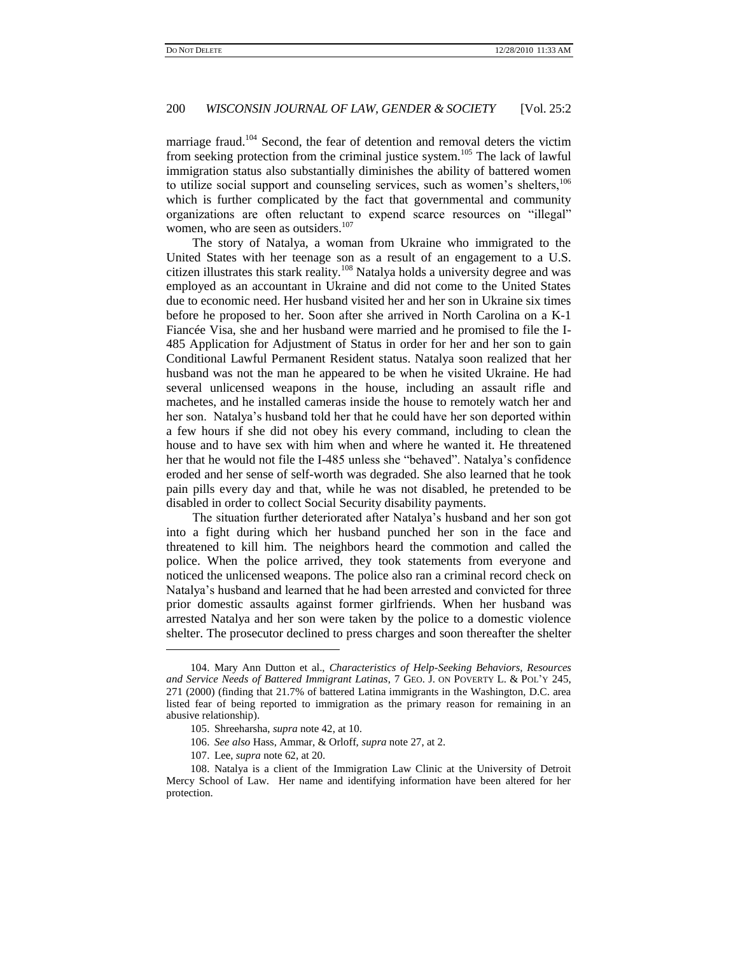marriage fraud.<sup>104</sup> Second, the fear of detention and removal deters the victim from seeking protection from the criminal justice system.<sup>105</sup> The lack of lawful immigration status also substantially diminishes the ability of battered women to utilize social support and counseling services, such as women's shelters,<sup>106</sup> which is further complicated by the fact that governmental and community organizations are often reluctant to expend scarce resources on "illegal" women, who are seen as outsiders.<sup>107</sup>

The story of Natalya, a woman from Ukraine who immigrated to the United States with her teenage son as a result of an engagement to a U.S. citizen illustrates this stark reality.<sup>108</sup> Natalya holds a university degree and was employed as an accountant in Ukraine and did not come to the United States due to economic need. Her husband visited her and her son in Ukraine six times before he proposed to her. Soon after she arrived in North Carolina on a K-1 Fiancée Visa, she and her husband were married and he promised to file the I-485 Application for Adjustment of Status in order for her and her son to gain Conditional Lawful Permanent Resident status. Natalya soon realized that her husband was not the man he appeared to be when he visited Ukraine. He had several unlicensed weapons in the house, including an assault rifle and machetes, and he installed cameras inside the house to remotely watch her and her son. Natalya's husband told her that he could have her son deported within a few hours if she did not obey his every command, including to clean the house and to have sex with him when and where he wanted it. He threatened her that he would not file the I-485 unless she "behaved". Natalya's confidence eroded and her sense of self-worth was degraded. She also learned that he took pain pills every day and that, while he was not disabled, he pretended to be disabled in order to collect Social Security disability payments.

The situation further deteriorated after Natalya's husband and her son got into a fight during which her husband punched her son in the face and threatened to kill him. The neighbors heard the commotion and called the police. When the police arrived, they took statements from everyone and noticed the unlicensed weapons. The police also ran a criminal record check on Natalya's husband and learned that he had been arrested and convicted for three prior domestic assaults against former girlfriends. When her husband was arrested Natalya and her son were taken by the police to a domestic violence shelter. The prosecutor declined to press charges and soon thereafter the shelter

l

<sup>104.</sup> Mary Ann Dutton et al., *Characteristics of Help-Seeking Behaviors, Resources and Service Needs of Battered Immigrant Latinas*, 7 GEO. J. ON POVERTY L. & POL'Y 245, 271 (2000) (finding that 21.7% of battered Latina immigrants in the Washington, D.C. area listed fear of being reported to immigration as the primary reason for remaining in an abusive relationship).

<sup>105.</sup> Shreeharsha, *supra* note 42, at 10.

<sup>106.</sup> *See also* Hass, Ammar, & Orloff, *supra* note 27, at 2.

<sup>107.</sup> Lee, *supra* note 62, at 20.

<sup>108.</sup> Natalya is a client of the Immigration Law Clinic at the University of Detroit Mercy School of Law. Her name and identifying information have been altered for her protection.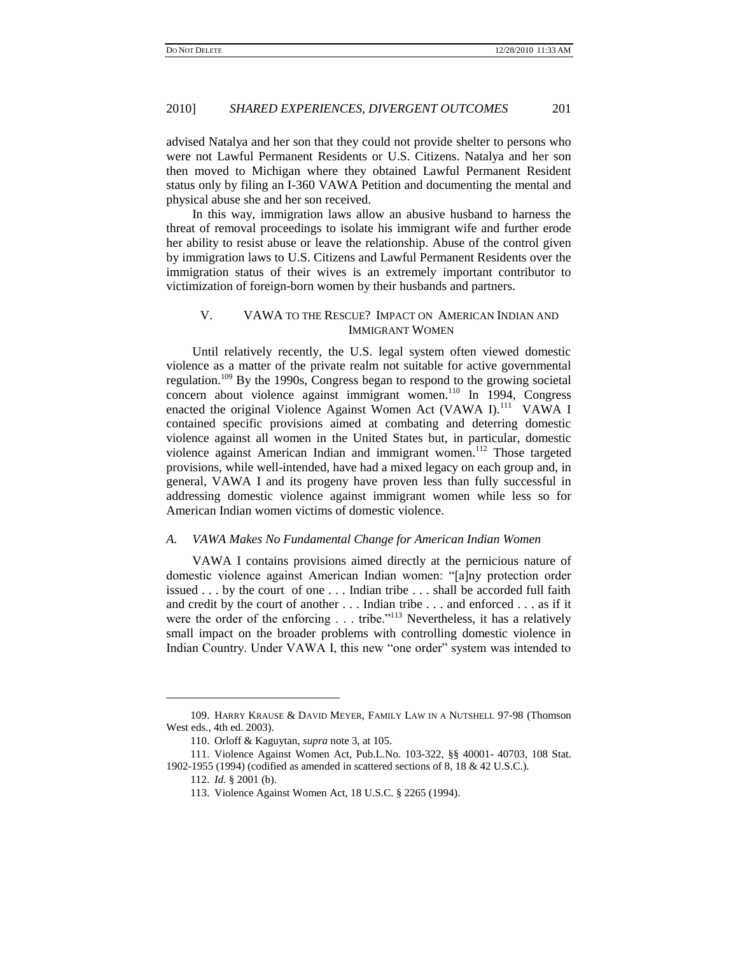advised Natalya and her son that they could not provide shelter to persons who were not Lawful Permanent Residents or U.S. Citizens. Natalya and her son then moved to Michigan where they obtained Lawful Permanent Resident status only by filing an I-360 VAWA Petition and documenting the mental and physical abuse she and her son received.

In this way, immigration laws allow an abusive husband to harness the threat of removal proceedings to isolate his immigrant wife and further erode her ability to resist abuse or leave the relationship. Abuse of the control given by immigration laws to U.S. Citizens and Lawful Permanent Residents over the immigration status of their wives is an extremely important contributor to victimization of foreign-born women by their husbands and partners.

## V. VAWA TO THE RESCUE? IMPACT ON AMERICAN INDIAN AND IMMIGRANT WOMEN

Until relatively recently, the U.S. legal system often viewed domestic violence as a matter of the private realm not suitable for active governmental regulation.<sup>109</sup> By the 1990s, Congress began to respond to the growing societal concern about violence against immigrant women.<sup>110</sup> In 1994, Congress enacted the original Violence Against Women Act (VAWA I).<sup>111</sup> VAWA I contained specific provisions aimed at combating and deterring domestic violence against all women in the United States but, in particular, domestic violence against American Indian and immigrant women.<sup>112</sup> Those targeted provisions, while well-intended, have had a mixed legacy on each group and, in general, VAWA I and its progeny have proven less than fully successful in addressing domestic violence against immigrant women while less so for American Indian women victims of domestic violence.

#### *A. VAWA Makes No Fundamental Change for American Indian Women*

VAWA I contains provisions aimed directly at the pernicious nature of domestic violence against American Indian women: "[a]ny protection order issued . . . by the court of one . . . Indian tribe . . . shall be accorded full faith and credit by the court of another . . . Indian tribe . . . and enforced . . . as if it were the order of the enforcing  $\ldots$  tribe.<sup>113</sup> Nevertheless, it has a relatively small impact on the broader problems with controlling domestic violence in Indian Country. Under VAWA I, this new "one order" system was intended to

<sup>109.</sup> HARRY KRAUSE & DAVID MEYER, FAMILY LAW IN A NUTSHELL 97-98 (Thomson West eds., 4th ed. 2003).

<sup>110.</sup> Orloff & Kaguytan, *supra* note 3, at 105.

<sup>111.</sup> Violence Against Women Act, Pub.L.No. 103-322, §§ 40001- 40703, 108 Stat. 1902-1955 (1994) (codified as amended in scattered sections of 8, 18 & 42 U.S.C.).

<sup>112.</sup> *Id*. § 2001 (b).

<sup>113.</sup> Violence Against Women Act, 18 U.S.C. § 2265 (1994).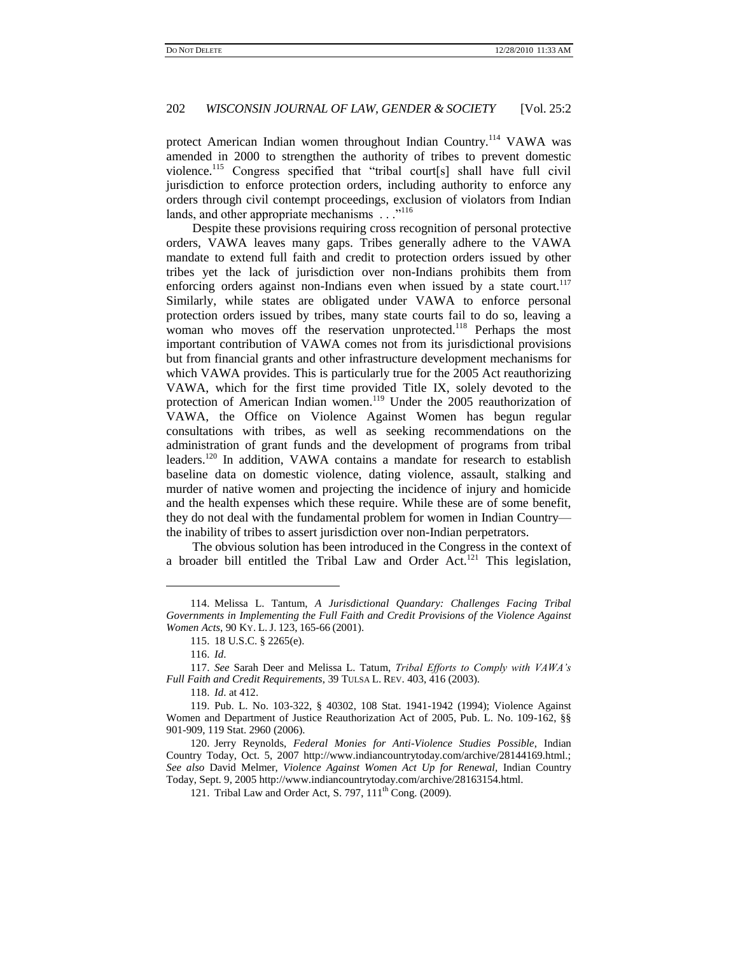protect American Indian women throughout Indian Country.<sup>114</sup> VAWA was amended in 2000 to strengthen the authority of tribes to prevent domestic violence.<sup>115</sup> Congress specified that "tribal court[s] shall have full civil jurisdiction to enforce protection orders, including authority to enforce any orders through civil contempt proceedings, exclusion of violators from Indian lands, and other appropriate mechanisms . . .<sup>"116</sup>

Despite these provisions requiring cross recognition of personal protective orders, VAWA leaves many gaps. Tribes generally adhere to the VAWA mandate to extend full faith and credit to protection orders issued by other tribes yet the lack of jurisdiction over non-Indians prohibits them from enforcing orders against non-Indians even when issued by a state court.<sup>117</sup> Similarly, while states are obligated under VAWA to enforce personal protection orders issued by tribes, many state courts fail to do so, leaving a woman who moves off the reservation unprotected.<sup>118</sup> Perhaps the most important contribution of VAWA comes not from its jurisdictional provisions but from financial grants and other infrastructure development mechanisms for which VAWA provides. This is particularly true for the 2005 Act reauthorizing VAWA, which for the first time provided Title IX, solely devoted to the protection of American Indian women.<sup>119</sup> Under the 2005 reauthorization of VAWA, the Office on Violence Against Women has begun regular consultations with tribes, as well as seeking recommendations on the administration of grant funds and the development of programs from tribal leaders.<sup>120</sup> In addition, VAWA contains a mandate for research to establish baseline data on domestic violence, dating violence, assault, stalking and murder of native women and projecting the incidence of injury and homicide and the health expenses which these require. While these are of some benefit, they do not deal with the fundamental problem for women in Indian Country the inability of tribes to assert jurisdiction over non-Indian perpetrators.

The obvious solution has been introduced in the Congress in the context of a broader bill entitled the Tribal Law and Order Act.<sup>121</sup> This legislation,

<sup>114.</sup> Melissa L. Tantum, *A Jurisdictional Quandary: Challenges Facing Tribal Governments in Implementing the Full Faith and Credit Provisions of the Violence Against Women Acts*, 90 KY. L. J. 123, 165-66 (2001).

<sup>115.</sup> 18 U.S.C. § 2265(e).

<sup>116.</sup> *Id*.

<sup>117.</sup> *See* Sarah Deer and Melissa L. Tatum, *Tribal Efforts to Comply with VAWA's Full Faith and Credit Requirements*, 39 TULSA L. REV. 403, 416 (2003).

<sup>118.</sup> *Id*. at 412.

<sup>119.</sup> Pub. L. No. 103-322, § 40302, 108 Stat. 1941-1942 (1994); Violence Against Women and Department of Justice Reauthorization Act of 2005, Pub. L. No. 109-162, §§ 901-909, 119 Stat. 2960 (2006).

<sup>120.</sup> Jerry Reynolds, *Federal Monies for Anti-Violence Studies Possible*, Indian Country Today, Oct. 5, 2007 http://www.indiancountrytoday.com/archive/28144169.html.; *See also* David Melmer, *Violence Against Women Act Up for Renewal,* Indian Country Today, Sept. 9, 2005 http://www.indiancountrytoday.com/archive/28163154.html.

<sup>121.</sup> Tribal Law and Order Act, [S.](http://www.govtrack.us/congress/bill.xpd?=s111-797S) 797,  $111<sup>th</sup>$  Cong. (2009).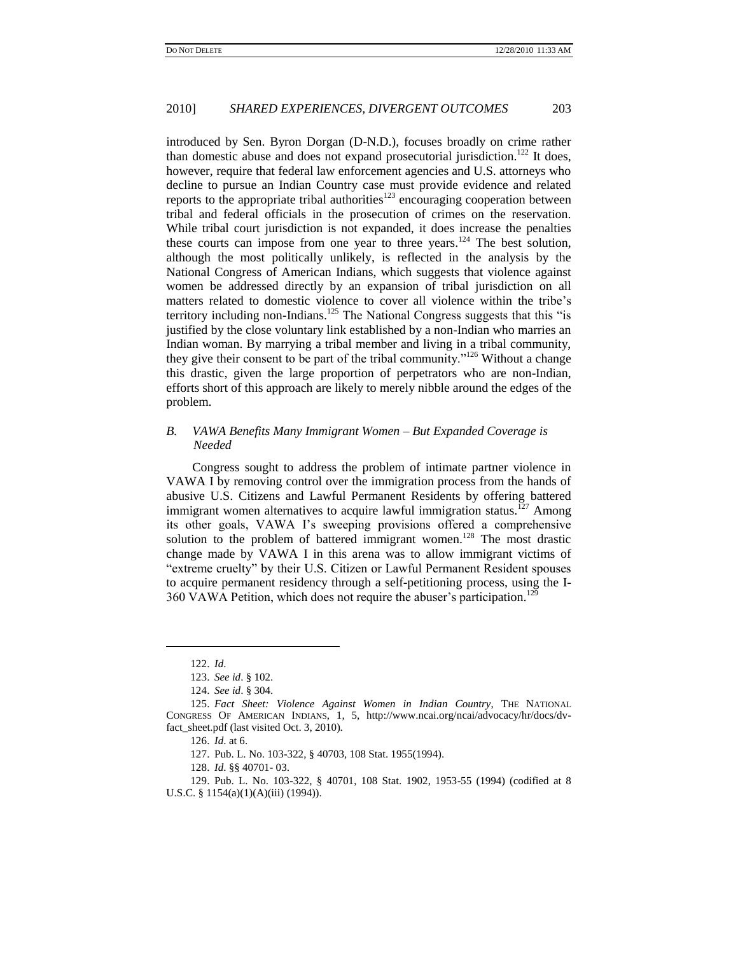introduced by Sen. Byron Dorgan (D-N.D.), focuses broadly on crime rather than domestic abuse and does not expand prosecutorial jurisdiction.<sup>122</sup> It does, however, require that federal law enforcement agencies and U.S. attorneys who decline to pursue an Indian Country case must provide evidence and related reports to the appropriate tribal authorities $123$  encouraging cooperation between tribal and federal officials in the prosecution of crimes on the reservation. While tribal court jurisdiction is not expanded, it does increase the penalties these courts can impose from one year to three years.<sup>124</sup> The best solution, although the most politically unlikely, is reflected in the analysis by the National Congress of American Indians, which suggests that violence against women be addressed directly by an expansion of tribal jurisdiction on all matters related to domestic violence to cover all violence within the tribe's territory including non-Indians.<sup>125</sup> The National Congress suggests that this "is justified by the close voluntary link established by a non-Indian who marries an Indian woman. By marrying a tribal member and living in a tribal community, they give their consent to be part of the tribal community."<sup>126</sup> Without a change this drastic, given the large proportion of perpetrators who are non-Indian, efforts short of this approach are likely to merely nibble around the edges of the problem.

## *B. VAWA Benefits Many Immigrant Women – But Expanded Coverage is Needed*

Congress sought to address the problem of intimate partner violence in VAWA I by removing control over the immigration process from the hands of abusive U.S. Citizens and Lawful Permanent Residents by offering battered immigrant women alternatives to acquire lawful immigration status.<sup>127</sup> Among its other goals, VAWA I's sweeping provisions offered a comprehensive solution to the problem of battered immigrant women.<sup>128</sup> The most drastic change made by VAWA I in this arena was to allow immigrant victims of "extreme cruelty" by their U.S. Citizen or Lawful Permanent Resident spouses to acquire permanent residency through a self-petitioning process, using the I-360 VAWA Petition, which does not require the abuser's participation.<sup>129</sup>

l

<sup>122.</sup> *Id*.

<sup>123.</sup> *See id*. § 102.

<sup>124.</sup> *See id*. § 304.

<sup>125.</sup> *Fact Sheet: Violence Against Women in Indian Country*, THE NATIONAL CONGRESS OF AMERICAN INDIANS, 1, 5, http://www.ncai.org/ncai/advocacy/hr/docs/dvfact\_sheet.pdf (last visited Oct. 3, 2010).

<sup>126.</sup> *Id*. at 6.

<sup>127.</sup> Pub. L. No. 103-322, § 40703, 108 Stat. 1955(1994).

<sup>128.</sup> *Id*. §§ 40701- 03.

<sup>129.</sup> Pub. L. No. 103-322, § 40701, 108 Stat. 1902, 1953-55 (1994) (codified at 8 U.S.C. § 1154(a)(1)(A)(iii) (1994)).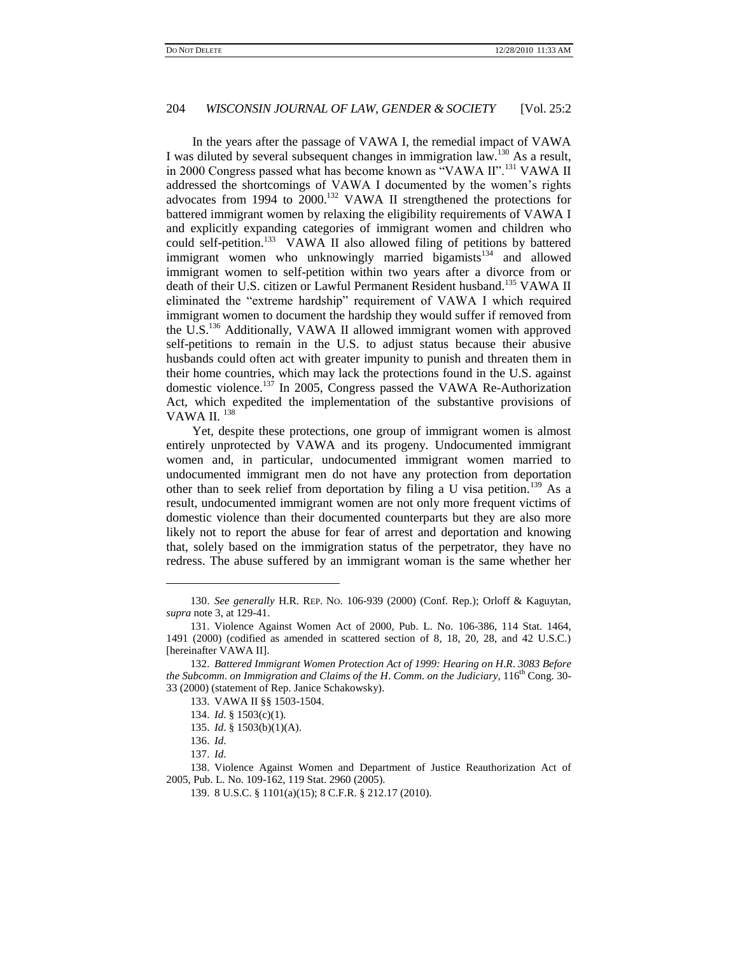In the years after the passage of VAWA I, the remedial impact of VAWA I was diluted by several subsequent changes in immigration law.<sup>130</sup> As a result, in 2000 Congress passed what has become known as "VAWA II".<sup>131</sup> VAWA II addressed the shortcomings of VAWA I documented by the women's rights advocates from 1994 to 2000.<sup>132</sup> VAWA II strengthened the protections for battered immigrant women by relaxing the eligibility requirements of VAWA I and explicitly expanding categories of immigrant women and children who could self-petition.<sup>133</sup> VAWA II also allowed filing of petitions by battered immigrant women who unknowingly married bigamists $134$  and allowed immigrant women to self-petition within two years after a divorce from or death of their U.S. citizen or Lawful Permanent Resident husband.<sup>135</sup> VAWA II eliminated the "extreme hardship" requirement of VAWA I which required immigrant women to document the hardship they would suffer if removed from the U.S.<sup>136</sup> Additionally, VAWA II allowed immigrant women with approved self-petitions to remain in the U.S. to adjust status because their abusive husbands could often act with greater impunity to punish and threaten them in their home countries, which may lack the protections found in the U.S. against domestic violence.<sup>137</sup> In 2005, Congress passed the VAWA Re-Authorization Act, which expedited the implementation of the substantive provisions of VAWA II.<sup>138</sup>

Yet, despite these protections, one group of immigrant women is almost entirely unprotected by VAWA and its progeny. Undocumented immigrant women and, in particular, undocumented immigrant women married to undocumented immigrant men do not have any protection from deportation other than to seek relief from deportation by filing a U visa petition.<sup>139</sup> As a result, undocumented immigrant women are not only more frequent victims of domestic violence than their documented counterparts but they are also more likely not to report the abuse for fear of arrest and deportation and knowing that, solely based on the immigration status of the perpetrator, they have no redress. The abuse suffered by an immigrant woman is the same whether her

l

<sup>130.</sup> *See generally* H.R. REP. NO. 106-939 (2000) (Conf. Rep.); Orloff & Kaguytan, *supra* note 3, at 129-41.

<sup>131.</sup> Violence Against Women Act of 2000, Pub. L. No. 106-386, 114 Stat. 1464, 1491 (2000) (codified as amended in scattered section of 8, 18, 20, 28, and 42 U.S.C.) [hereinafter VAWA II].

<sup>132.</sup> *Battered Immigrant Women Protection Act of 1999: Hearing on H*.*R*. *3083 Before the Subcomm. on Immigration and Claims of the H. Comm. on the Judiciary*, 116<sup>th</sup> Cong. 30-33 (2000) (statement of Rep. Janice Schakowsky).

<sup>133.</sup> VAWA II §§ 1503-1504.

<sup>134.</sup> *Id*. § 1503(c)(1).

<sup>135.</sup> *Id*. § 1503(b)(1)(A).

<sup>136.</sup> *Id*.

<sup>137.</sup> *Id*.

<sup>138.</sup> Violence Against Women and Department of Justice Reauthorization Act of 2005, Pub. L. No. 109-162, 119 Stat. 2960 (2005).

<sup>139.</sup> 8 U.S.C. § 1101(a)(15); 8 C.F.R. § 212.17 (2010).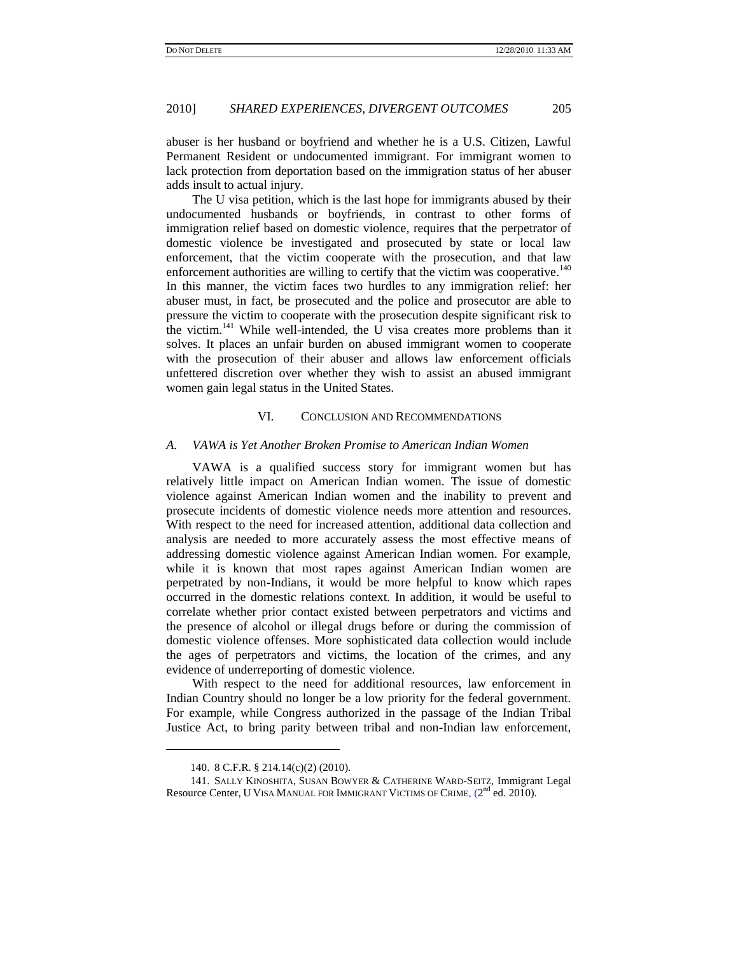abuser is her husband or boyfriend and whether he is a U.S. Citizen, Lawful Permanent Resident or undocumented immigrant. For immigrant women to lack protection from deportation based on the immigration status of her abuser adds insult to actual injury.

The U visa petition, which is the last hope for immigrants abused by their undocumented husbands or boyfriends, in contrast to other forms of immigration relief based on domestic violence, requires that the perpetrator of domestic violence be investigated and prosecuted by state or local law enforcement, that the victim cooperate with the prosecution, and that law enforcement authorities are willing to certify that the victim was cooperative.<sup>140</sup> In this manner, the victim faces two hurdles to any immigration relief: her abuser must, in fact, be prosecuted and the police and prosecutor are able to pressure the victim to cooperate with the prosecution despite significant risk to the victim.<sup>141</sup> While well-intended, the U visa creates more problems than it solves. It places an unfair burden on abused immigrant women to cooperate with the prosecution of their abuser and allows law enforcement officials unfettered discretion over whether they wish to assist an abused immigrant women gain legal status in the United States.

## VI. CONCLUSION AND RECOMMENDATIONS

## *A. VAWA is Yet Another Broken Promise to American Indian Women*

VAWA is a qualified success story for immigrant women but has relatively little impact on American Indian women. The issue of domestic violence against American Indian women and the inability to prevent and prosecute incidents of domestic violence needs more attention and resources. With respect to the need for increased attention, additional data collection and analysis are needed to more accurately assess the most effective means of addressing domestic violence against American Indian women. For example, while it is known that most rapes against American Indian women are perpetrated by non-Indians, it would be more helpful to know which rapes occurred in the domestic relations context. In addition, it would be useful to correlate whether prior contact existed between perpetrators and victims and the presence of alcohol or illegal drugs before or during the commission of domestic violence offenses. More sophisticated data collection would include the ages of perpetrators and victims, the location of the crimes, and any evidence of underreporting of domestic violence.

With respect to the need for additional resources, law enforcement in Indian Country should no longer be a low priority for the federal government. For example, while Congress authorized in the passage of the Indian Tribal Justice Act, to bring parity between tribal and non-Indian law enforcement,

<sup>140.</sup> 8 C.F.R. § 214.14(c)(2) (2010).

<sup>141.</sup> SALLY KINOSHITA, SUSAN BOWYER & CATHERINE WARD-SEITZ, Immigrant Legal Resource Center, U VISA MANUAL FOR IMMIGRANT VICTIMS OF CRIME,  $(2^{\rm nd}\,\rm ed.\,2010)$ .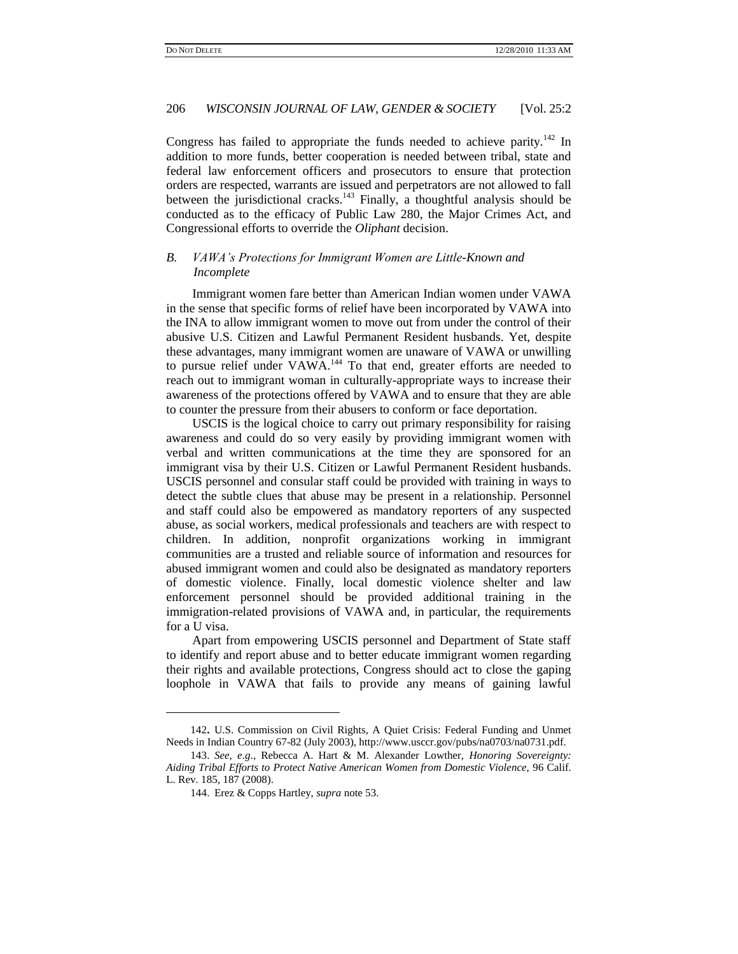Congress has failed to appropriate the funds needed to achieve parity.<sup>142</sup> In addition to more funds, better cooperation is needed between tribal, state and federal law enforcement officers and prosecutors to ensure that protection orders are respected, warrants are issued and perpetrators are not allowed to fall between the jurisdictional cracks.<sup>143</sup> Finally, a thoughtful analysis should be conducted as to the efficacy of Public Law 280, the Major Crimes Act, and Congressional efforts to override the *Oliphant* decision.

## *B. VAWA's Protections for Immigrant Women are Little-Known and Incomplete*

Immigrant women fare better than American Indian women under VAWA in the sense that specific forms of relief have been incorporated by VAWA into the INA to allow immigrant women to move out from under the control of their abusive U.S. Citizen and Lawful Permanent Resident husbands. Yet, despite these advantages, many immigrant women are unaware of VAWA or unwilling to pursue relief under VAWA.<sup>144</sup> To that end, greater efforts are needed to reach out to immigrant woman in culturally-appropriate ways to increase their awareness of the protections offered by VAWA and to ensure that they are able to counter the pressure from their abusers to conform or face deportation.

USCIS is the logical choice to carry out primary responsibility for raising awareness and could do so very easily by providing immigrant women with verbal and written communications at the time they are sponsored for an immigrant visa by their U.S. Citizen or Lawful Permanent Resident husbands. USCIS personnel and consular staff could be provided with training in ways to detect the subtle clues that abuse may be present in a relationship. Personnel and staff could also be empowered as mandatory reporters of any suspected abuse, as social workers, medical professionals and teachers are with respect to children. In addition, nonprofit organizations working in immigrant communities are a trusted and reliable source of information and resources for abused immigrant women and could also be designated as mandatory reporters of domestic violence. Finally, local domestic violence shelter and law enforcement personnel should be provided additional training in the immigration-related provisions of VAWA and, in particular, the requirements for a U visa.

Apart from empowering USCIS personnel and Department of State staff to identify and report abuse and to better educate immigrant women regarding their rights and available protections, Congress should act to close the gaping loophole in VAWA that fails to provide any means of gaining lawful

<sup>142</sup>**.** U.S. Commission on Civil Rights, A Quiet Crisis: Federal Funding and Unmet Needs in Indian Country 67-82 (July 2003), http://www.usccr.gov/pubs/na0703/na0731.pdf.

<sup>143.</sup> *See, e*.*g*.*,* Rebecca A. Hart & M. Alexander Lowther, *Honoring Sovereignty: Aiding Tribal Efforts to Protect Native American Women from Domestic Violence,* 96 Calif. L. Rev. 185, 187 (2008).

<sup>144.</sup> Erez & Copps Hartley, *supra* note 53.